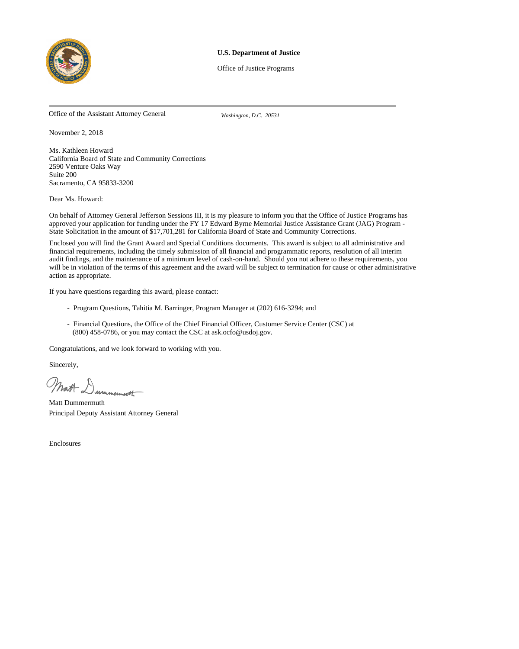

# **U.S. Department of Justice**

Office of Justice Programs

Office of the Assistant Attorney General *Washington, D.C. 20531*

November 2, 2018

Ms. Kathleen Howard California Board of State and Community Corrections 2590 Venture Oaks Way Suite 200 Sacramento, CA 95833-3200

Dear Ms. Howard:

On behalf of Attorney General Jefferson Sessions III, it is my pleasure to inform you that the Office of Justice Programs has approved your application for funding under the FY 17 Edward Byrne Memorial Justice Assistance Grant (JAG) Program - State Solicitation in the amount of \$17,701,281 for California Board of State and Community Corrections.

Enclosed you will find the Grant Award and Special Conditions documents. This award is subject to all administrative and financial requirements, including the timely submission of all financial and programmatic reports, resolution of all interim audit findings, and the maintenance of a minimum level of cash-on-hand. Should you not adhere to these requirements, you will be in violation of the terms of this agreement and the award will be subject to termination for cause or other administrative action as appropriate.

If you have questions regarding this award, please contact:

- Program Questions, Tahitia M. Barringer, Program Manager at (202) 616-3294; and
- Financial Questions, the Office of the Chief Financial Officer, Customer Service Center (CSC) at (800) 458-0786, or you may contact the CSC at ask.ocfo@usdoj.gov.

Congratulations, and we look forward to working with you.

Sincerely,

Matt Dummermooth

Matt Dummermuth Principal Deputy Assistant Attorney General

Enclosures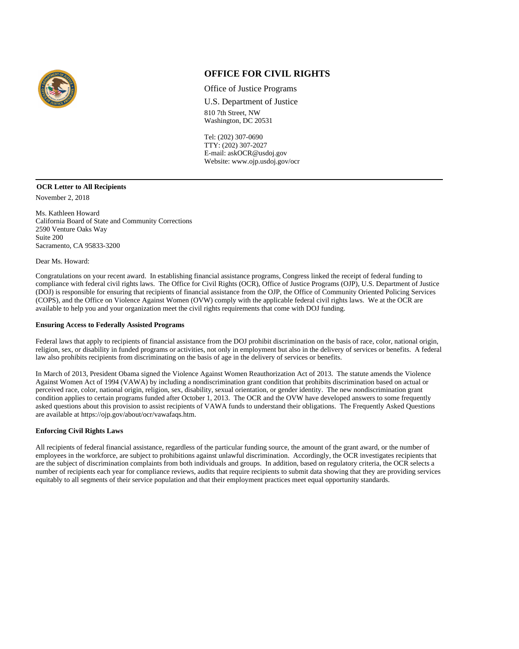

# **OFFICE FOR CIVIL RIGHTS**

Office of Justice Programs

U.S. Department of Justice 810 7th Street, NW Washington, DC 20531

Tel: (202) 307-0690 TTY: (202) 307-2027 E-mail: askOCR@usdoj.gov Website: www.ojp.usdoj.gov/ocr

November 2, 2018 **OCR Letter to All Recipients**

Ms. Kathleen Howard California Board of State and Community Corrections 2590 Venture Oaks Way Suite 200 Sacramento, CA 95833-3200

Dear Ms. Howard:

Congratulations on your recent award. In establishing financial assistance programs, Congress linked the receipt of federal funding to compliance with federal civil rights laws. The Office for Civil Rights (OCR), Office of Justice Programs (OJP), U.S. Department of Justice (DOJ) is responsible for ensuring that recipients of financial assistance from the OJP, the Office of Community Oriented Policing Services (COPS), and the Office on Violence Against Women (OVW) comply with the applicable federal civil rights laws. We at the OCR are available to help you and your organization meet the civil rights requirements that come with DOJ funding.

#### **Ensuring Access to Federally Assisted Programs**

Federal laws that apply to recipients of financial assistance from the DOJ prohibit discrimination on the basis of race, color, national origin, religion, sex, or disability in funded programs or activities, not only in employment but also in the delivery of services or benefits. A federal law also prohibits recipients from discriminating on the basis of age in the delivery of services or benefits.

In March of 2013, President Obama signed the Violence Against Women Reauthorization Act of 2013. The statute amends the Violence Against Women Act of 1994 (VAWA) by including a nondiscrimination grant condition that prohibits discrimination based on actual or perceived race, color, national origin, religion, sex, disability, sexual orientation, or gender identity. The new nondiscrimination grant condition applies to certain programs funded after October 1, 2013. The OCR and the OVW have developed answers to some frequently asked questions about this provision to assist recipients of VAWA funds to understand their obligations. The Frequently Asked Questions are available at https://ojp.gov/about/ocr/vawafaqs.htm.

#### **Enforcing Civil Rights Laws**

All recipients of federal financial assistance, regardless of the particular funding source, the amount of the grant award, or the number of employees in the workforce, are subject to prohibitions against unlawful discrimination. Accordingly, the OCR investigates recipients that are the subject of discrimination complaints from both individuals and groups. In addition, based on regulatory criteria, the OCR selects a number of recipients each year for compliance reviews, audits that require recipients to submit data showing that they are providing services equitably to all segments of their service population and that their employment practices meet equal opportunity standards.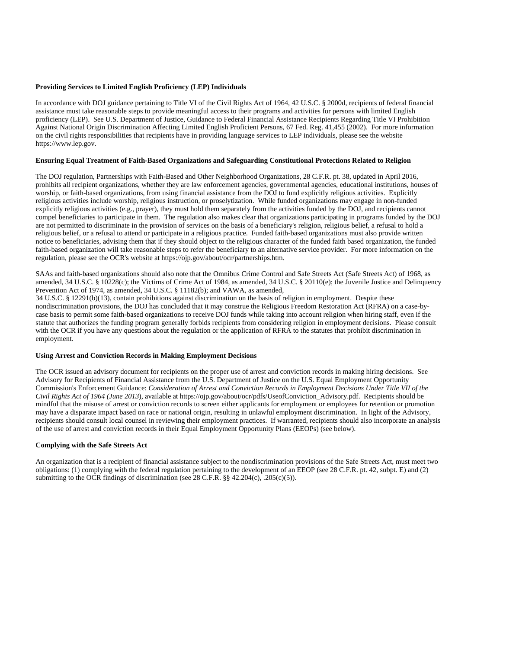# **Providing Services to Limited English Proficiency (LEP) Individuals**

In accordance with DOJ guidance pertaining to Title VI of the Civil Rights Act of 1964, 42 U.S.C. § 2000d, recipients of federal financial assistance must take reasonable steps to provide meaningful access to their programs and activities for persons with limited English proficiency (LEP). See U.S. Department of Justice, Guidance to Federal Financial Assistance Recipients Regarding Title VI Prohibition Against National Origin Discrimination Affecting Limited English Proficient Persons, 67 Fed. Reg. 41,455 (2002). For more information on the civil rights responsibilities that recipients have in providing language services to LEP individuals, please see the website https://www.lep.gov.

#### **Ensuring Equal Treatment of Faith-Based Organizations and Safeguarding Constitutional Protections Related to Religion**

The DOJ regulation, Partnerships with Faith-Based and Other Neighborhood Organizations, 28 C.F.R. pt. 38, updated in April 2016, prohibits all recipient organizations, whether they are law enforcement agencies, governmental agencies, educational institutions, houses of worship, or faith-based organizations, from using financial assistance from the DOJ to fund explicitly religious activities. Explicitly religious activities include worship, religious instruction, or proselytization. While funded organizations may engage in non-funded explicitly religious activities (e.g., prayer), they must hold them separately from the activities funded by the DOJ, and recipients cannot compel beneficiaries to participate in them. The regulation also makes clear that organizations participating in programs funded by the DOJ are not permitted to discriminate in the provision of services on the basis of a beneficiary's religion, religious belief, a refusal to hold a religious belief, or a refusal to attend or participate in a religious practice. Funded faith-based organizations must also provide written notice to beneficiaries, advising them that if they should object to the religious character of the funded faith based organization, the funded faith-based organization will take reasonable steps to refer the beneficiary to an alternative service provider. For more information on the regulation, please see the OCR's website at https://ojp.gov/about/ocr/partnerships.htm.

SAAs and faith-based organizations should also note that the Omnibus Crime Control and Safe Streets Act (Safe Streets Act) of 1968, as amended, 34 U.S.C. § 10228(c); the Victims of Crime Act of 1984, as amended, 34 U.S.C. § 20110(e); the Juvenile Justice and Delinquency Prevention Act of 1974, as amended, 34 U.S.C. § 11182(b); and VAWA, as amended,

34 U.S.C. § 12291(b)(13), contain prohibitions against discrimination on the basis of religion in employment. Despite these nondiscrimination provisions, the DOJ has concluded that it may construe the Religious Freedom Restoration Act (RFRA) on a case-bycase basis to permit some faith-based organizations to receive DOJ funds while taking into account religion when hiring staff, even if the statute that authorizes the funding program generally forbids recipients from considering religion in employment decisions. Please consult with the OCR if you have any questions about the regulation or the application of RFRA to the statutes that prohibit discrimination in employment.

#### **Using Arrest and Conviction Records in Making Employment Decisions**

The OCR issued an advisory document for recipients on the proper use of arrest and conviction records in making hiring decisions. See Advisory for Recipients of Financial Assistance from the U.S. Department of Justice on the U.S. Equal Employment Opportunity Commission's Enforcement Guidance: *Consideration of Arrest and Conviction Records in Employment Decisions Under Title VII of the Civil Rights Act of 1964 (June 2013*), available at https://ojp.gov/about/ocr/pdfs/UseofConviction\_Advisory.pdf. Recipients should be mindful that the misuse of arrest or conviction records to screen either applicants for employment or employees for retention or promotion may have a disparate impact based on race or national origin, resulting in unlawful employment discrimination. In light of the Advisory, recipients should consult local counsel in reviewing their employment practices. If warranted, recipients should also incorporate an analysis of the use of arrest and conviction records in their Equal Employment Opportunity Plans (EEOPs) (see below).

#### **Complying with the Safe Streets Act**

An organization that is a recipient of financial assistance subject to the nondiscrimination provisions of the Safe Streets Act, must meet two obligations: (1) complying with the federal regulation pertaining to the development of an EEOP (see 28 C.F.R. pt. 42, subpt. E) and (2) submitting to the OCR findings of discrimination (see 28 C.F.R. §§ 42.204(c), .205(c)(5)).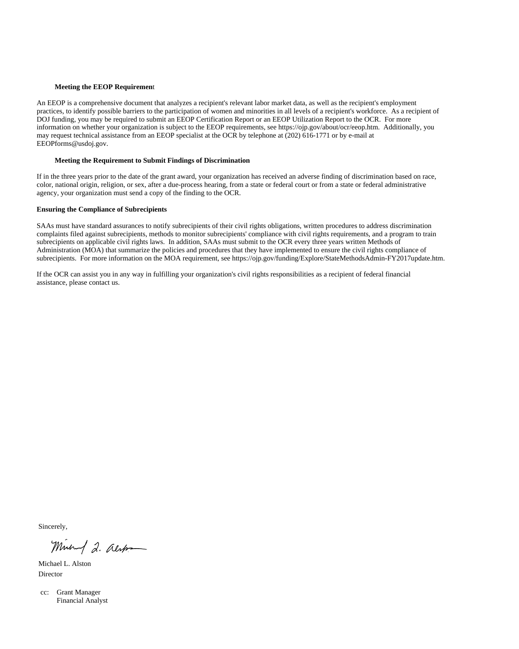#### **Meeting the EEOP Requiremen**t

An EEOP is a comprehensive document that analyzes a recipient's relevant labor market data, as well as the recipient's employment practices, to identify possible barriers to the participation of women and minorities in all levels of a recipient's workforce. As a recipient of DOJ funding, you may be required to submit an EEOP Certification Report or an EEOP Utilization Report to the OCR. For more information on whether your organization is subject to the EEOP requirements, see https://ojp.gov/about/ocr/eeop.htm. Additionally, you may request technical assistance from an EEOP specialist at the OCR by telephone at (202) 616-1771 or by e-mail at EEOPforms@usdoj.gov.

### **Meeting the Requirement to Submit Findings of Discrimination**

If in the three years prior to the date of the grant award, your organization has received an adverse finding of discrimination based on race, color, national origin, religion, or sex, after a due-process hearing, from a state or federal court or from a state or federal administrative agency, your organization must send a copy of the finding to the OCR.

#### **Ensuring the Compliance of Subrecipients**

SAAs must have standard assurances to notify subrecipients of their civil rights obligations, written procedures to address discrimination complaints filed against subrecipients, methods to monitor subrecipients' compliance with civil rights requirements, and a program to train subrecipients on applicable civil rights laws. In addition, SAAs must submit to the OCR every three years written Methods of Administration (MOA) that summarize the policies and procedures that they have implemented to ensure the civil rights compliance of subrecipients. For more information on the MOA requirement, see https://ojp.gov/funding/Explore/StateMethodsAdmin-FY2017update.htm.

If the OCR can assist you in any way in fulfilling your organization's civil rights responsibilities as a recipient of federal financial assistance, please contact us.

Sincerely,

Mineral 2. also

Michael L. Alston Director

cc: Grant Manager Financial Analyst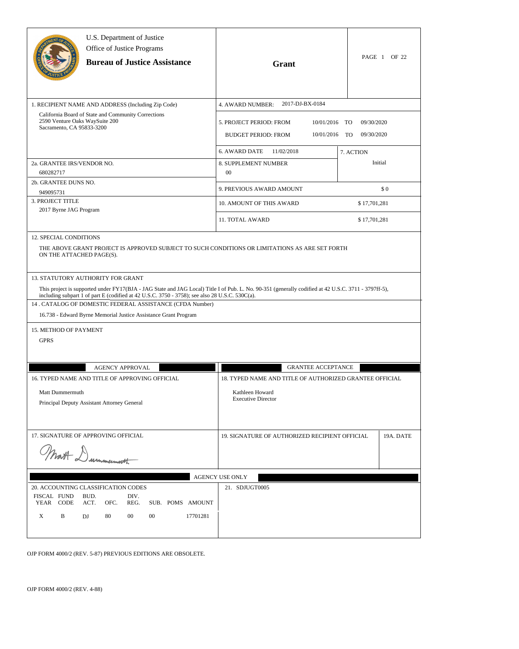|                                                              | U.S. Department of Justice<br>Office of Justice Programs<br><b>Bureau of Justice Assistance</b>                                                                                                  | Grant                                                                                                                                                | PAGE 1 OF 22                                |
|--------------------------------------------------------------|--------------------------------------------------------------------------------------------------------------------------------------------------------------------------------------------------|------------------------------------------------------------------------------------------------------------------------------------------------------|---------------------------------------------|
|                                                              | 1. RECIPIENT NAME AND ADDRESS (Including Zip Code)                                                                                                                                               | 2017-DJ-BX-0184<br>4. AWARD NUMBER:                                                                                                                  |                                             |
| 2590 Venture Oaks Way Suite 200<br>Sacramento, CA 95833-3200 | California Board of State and Community Corrections                                                                                                                                              | 5. PROJECT PERIOD: FROM<br>10/01/2016<br><b>BUDGET PERIOD: FROM</b><br>10/01/2016                                                                    | 09/30/2020<br>TO<br>09/30/2020<br><b>TO</b> |
|                                                              |                                                                                                                                                                                                  | <b>6. AWARD DATE</b><br>11/02/2018                                                                                                                   | 7. ACTION                                   |
| 2a. GRANTEE IRS/VENDOR NO.<br>680282717                      |                                                                                                                                                                                                  | 8. SUPPLEMENT NUMBER<br>00                                                                                                                           | Initial                                     |
| 2b. GRANTEE DUNS NO.<br>949095731                            |                                                                                                                                                                                                  | 9. PREVIOUS AWARD AMOUNT                                                                                                                             | \$0                                         |
| 3. PROJECT TITLE                                             |                                                                                                                                                                                                  | 10. AMOUNT OF THIS AWARD                                                                                                                             | \$17,701,281                                |
| 2017 Byrne JAG Program                                       |                                                                                                                                                                                                  | 11. TOTAL AWARD                                                                                                                                      | \$17,701,281                                |
| <b>12. SPECIAL CONDITIONS</b><br>ON THE ATTACHED PAGE(S).    |                                                                                                                                                                                                  | THE ABOVE GRANT PROJECT IS APPROVED SUBJECT TO SUCH CONDITIONS OR LIMITATIONS AS ARE SET FORTH                                                       |                                             |
|                                                              | 13. STATUTORY AUTHORITY FOR GRANT<br>including subpart 1 of part E (codified at 42 U.S.C. 3750 - 3758); see also 28 U.S.C. 530C(a).<br>14 . CATALOG OF DOMESTIC FEDERAL ASSISTANCE (CFDA Number) | This project is supported under FY17(BJA - JAG State and JAG Local) Title I of Pub. L. No. 90-351 (generally codified at 42 U.S.C. 3711 - 3797ff-5), |                                             |
|                                                              | 16.738 - Edward Byrne Memorial Justice Assistance Grant Program                                                                                                                                  |                                                                                                                                                      |                                             |
| 15. METHOD OF PAYMENT<br><b>GPRS</b>                         |                                                                                                                                                                                                  |                                                                                                                                                      |                                             |
|                                                              | <b>AGENCY APPROVAL</b>                                                                                                                                                                           | <b>GRANTEE ACCEPTANCE</b>                                                                                                                            |                                             |
| Matt Dummermuth                                              | 16. TYPED NAME AND TITLE OF APPROVING OFFICIAL<br>Principal Deputy Assistant Attorney General                                                                                                    | 18. TYPED NAME AND TITLE OF AUTHORIZED GRANTEE OFFICIAL<br>Kathleen Howard<br><b>Executive Director</b>                                              |                                             |
|                                                              | 17. SIGNATURE OF APPROVING OFFICIAL<br>Wat Dummermooth                                                                                                                                           | 19. SIGNATURE OF AUTHORIZED RECIPIENT OFFICIAL                                                                                                       | 19A. DATE                                   |
|                                                              |                                                                                                                                                                                                  | <b>AGENCY USE ONLY</b>                                                                                                                               |                                             |
| FISCAL FUND<br>YEAR CODE<br>X<br>B                           | 20. ACCOUNTING CLASSIFICATION CODES<br>BUD.<br>DIV.<br>ACT.<br>OFC.<br>REG.<br>SUB. POMS AMOUNT<br>80<br>$00\,$<br>00<br>17701281<br>DJ                                                          | 21. SDJUGT0005                                                                                                                                       |                                             |

OJP FORM 4000/2 (REV. 5-87) PREVIOUS EDITIONS ARE OBSOLETE.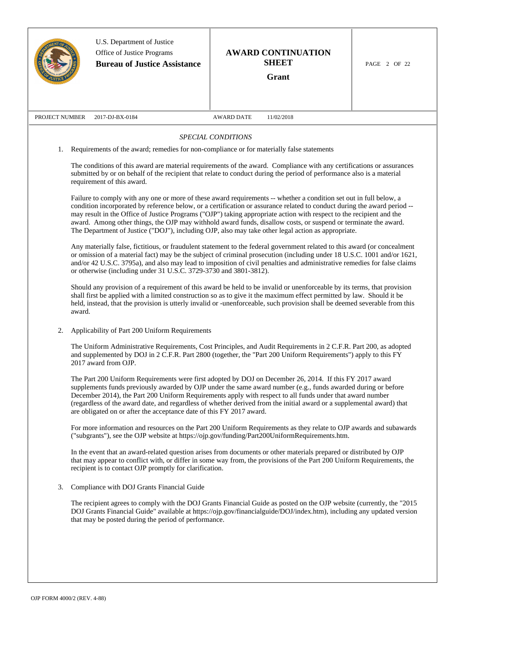|                |        | U.S. Department of Justice<br>Office of Justice Programs<br><b>Bureau of Justice Assistance</b> | <b>AWARD CONTINUATION</b><br><b>SHEET</b><br>Grant                                                                                                                                                                                                                                                                                                                                                                                                                                                                                                                                              | PAGE 2 OF 22 |
|----------------|--------|-------------------------------------------------------------------------------------------------|-------------------------------------------------------------------------------------------------------------------------------------------------------------------------------------------------------------------------------------------------------------------------------------------------------------------------------------------------------------------------------------------------------------------------------------------------------------------------------------------------------------------------------------------------------------------------------------------------|--------------|
| PROJECT NUMBER |        | 2017-DJ-BX-0184                                                                                 | AWARD DATE<br>11/02/2018                                                                                                                                                                                                                                                                                                                                                                                                                                                                                                                                                                        |              |
|                |        |                                                                                                 | SPECIAL CONDITIONS                                                                                                                                                                                                                                                                                                                                                                                                                                                                                                                                                                              |              |
| 1.             |        |                                                                                                 | Requirements of the award; remedies for non-compliance or for materially false statements                                                                                                                                                                                                                                                                                                                                                                                                                                                                                                       |              |
|                |        | requirement of this award.                                                                      | The conditions of this award are material requirements of the award. Compliance with any certifications or assurances<br>submitted by or on behalf of the recipient that relate to conduct during the period of performance also is a material                                                                                                                                                                                                                                                                                                                                                  |              |
|                |        |                                                                                                 | Failure to comply with any one or more of these award requirements -- whether a condition set out in full below, a<br>condition incorporated by reference below, or a certification or assurance related to conduct during the award period --<br>may result in the Office of Justice Programs ("OJP") taking appropriate action with respect to the recipient and the<br>award. Among other things, the OJP may withhold award funds, disallow costs, or suspend or terminate the award.<br>The Department of Justice ("DOJ"), including OJP, also may take other legal action as appropriate. |              |
|                |        | or otherwise (including under 31 U.S.C. 3729-3730 and 3801-3812).                               | Any materially false, fictitious, or fraudulent statement to the federal government related to this award (or concealment<br>or omission of a material fact) may be the subject of criminal prosecution (including under 18 U.S.C. 1001 and/or 1621,<br>and/or 42 U.S.C. 3795a), and also may lead to imposition of civil penalties and administrative remedies for false claims                                                                                                                                                                                                                |              |
|                | award. |                                                                                                 | Should any provision of a requirement of this award be held to be invalid or unenforceable by its terms, that provision<br>shall first be applied with a limited construction so as to give it the maximum effect permitted by law. Should it be<br>held, instead, that the provision is utterly invalid or -unenforceable, such provision shall be deemed severable from this                                                                                                                                                                                                                  |              |
| 2.             |        | Applicability of Part 200 Uniform Requirements                                                  |                                                                                                                                                                                                                                                                                                                                                                                                                                                                                                                                                                                                 |              |
|                |        | 2017 award from OJP.                                                                            | The Uniform Administrative Requirements, Cost Principles, and Audit Requirements in 2 C.F.R. Part 200, as adopted<br>and supplemented by DOJ in 2 C.F.R. Part 2800 (together, the "Part 200 Uniform Requirements") apply to this FY                                                                                                                                                                                                                                                                                                                                                             |              |
|                |        | are obligated on or after the acceptance date of this FY 2017 award.                            | The Part 200 Uniform Requirements were first adopted by DOJ on December 26, 2014. If this FY 2017 award<br>supplements funds previously awarded by OJP under the same award number (e.g., funds awarded during or before<br>December 2014), the Part 200 Uniform Requirements apply with respect to all funds under that award number<br>(regardless of the award date, and regardless of whether derived from the initial award or a supplemental award) that                                                                                                                                  |              |
|                |        |                                                                                                 | For more information and resources on the Part 200 Uniform Requirements as they relate to OJP awards and subawards<br>("subgrants"), see the OJP website at https://ojp.gov/funding/Part200UniformRequirements.htm.                                                                                                                                                                                                                                                                                                                                                                             |              |
|                |        | recipient is to contact OJP promptly for clarification.                                         | In the event that an award-related question arises from documents or other materials prepared or distributed by OJP<br>that may appear to conflict with, or differ in some way from, the provisions of the Part 200 Uniform Requirements, the                                                                                                                                                                                                                                                                                                                                                   |              |
| 3.             |        | Compliance with DOJ Grants Financial Guide                                                      |                                                                                                                                                                                                                                                                                                                                                                                                                                                                                                                                                                                                 |              |
|                |        | that may be posted during the period of performance.                                            | The recipient agrees to comply with the DOJ Grants Financial Guide as posted on the OJP website (currently, the "2015<br>DOJ Grants Financial Guide" available at https://ojp.gov/financialguide/DOJ/index.htm), including any updated version                                                                                                                                                                                                                                                                                                                                                  |              |
|                |        |                                                                                                 |                                                                                                                                                                                                                                                                                                                                                                                                                                                                                                                                                                                                 |              |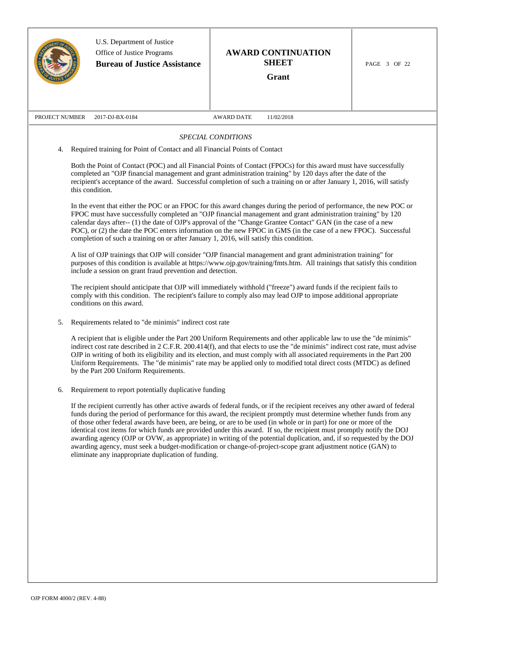|                       | U.S. Department of Justice<br>Office of Justice Programs<br><b>Bureau of Justice Assistance</b>                                                       | <b>AWARD CONTINUATION</b><br><b>SHEET</b><br>Grant                                                                                                                                                                                                                                                                                                                                                                                                                                                                                                                                                                                                                                                                                          | PAGE 3 OF 22 |
|-----------------------|-------------------------------------------------------------------------------------------------------------------------------------------------------|---------------------------------------------------------------------------------------------------------------------------------------------------------------------------------------------------------------------------------------------------------------------------------------------------------------------------------------------------------------------------------------------------------------------------------------------------------------------------------------------------------------------------------------------------------------------------------------------------------------------------------------------------------------------------------------------------------------------------------------------|--------------|
| PROJECT NUMBER        | 2017-DJ-BX-0184                                                                                                                                       | <b>AWARD DATE</b><br>11/02/2018                                                                                                                                                                                                                                                                                                                                                                                                                                                                                                                                                                                                                                                                                                             |              |
| 4.<br>this condition. | Required training for Point of Contact and all Financial Points of Contact                                                                            | SPECIAL CONDITIONS<br>Both the Point of Contact (POC) and all Financial Points of Contact (FPOCs) for this award must have successfully<br>completed an "OJP financial management and grant administration training" by 120 days after the date of the<br>recipient's acceptance of the award. Successful completion of such a training on or after January 1, 2016, will satisfy                                                                                                                                                                                                                                                                                                                                                           |              |
|                       | completion of such a training on or after January 1, 2016, will satisfy this condition.<br>include a session on grant fraud prevention and detection. | In the event that either the POC or an FPOC for this award changes during the period of performance, the new POC or<br>FPOC must have successfully completed an "OJP financial management and grant administration training" by 120<br>calendar days after-- (1) the date of OJP's approval of the "Change Grantee Contact" GAN (in the case of a new<br>POC), or (2) the date the POC enters information on the new FPOC in GMS (in the case of a new FPOC). Successful<br>A list of OJP trainings that OJP will consider "OJP financial management and grant administration training" for<br>purposes of this condition is available at https://www.ojp.gov/training/fmts.htm. All trainings that satisfy this condition                  |              |
|                       | conditions on this award.                                                                                                                             | The recipient should anticipate that OJP will immediately withhold ("freeze") award funds if the recipient fails to<br>comply with this condition. The recipient's failure to comply also may lead OJP to impose additional appropriate                                                                                                                                                                                                                                                                                                                                                                                                                                                                                                     |              |
| 5.                    | Requirements related to "de minimis" indirect cost rate<br>by the Part 200 Uniform Requirements.                                                      | A recipient that is eligible under the Part 200 Uniform Requirements and other applicable law to use the "de minimis"<br>indirect cost rate described in 2 C.F.R. 200.414(f), and that elects to use the "de minimis" indirect cost rate, must advise<br>OJP in writing of both its eligibility and its election, and must comply with all associated requirements in the Part 200<br>Uniform Requirements. The "de minimis" rate may be applied only to modified total direct costs (MTDC) as defined                                                                                                                                                                                                                                      |              |
| 6.                    | Requirement to report potentially duplicative funding<br>eliminate any inappropriate duplication of funding.                                          | If the recipient currently has other active awards of federal funds, or if the recipient receives any other award of federal<br>funds during the period of performance for this award, the recipient promptly must determine whether funds from any<br>of those other federal awards have been, are being, or are to be used (in whole or in part) for one or more of the<br>identical cost items for which funds are provided under this award. If so, the recipient must promptly notify the DOJ<br>awarding agency (OJP or OVW, as appropriate) in writing of the potential duplication, and, if so requested by the DOJ<br>awarding agency, must seek a budget-modification or change-of-project-scope grant adjustment notice (GAN) to |              |
|                       |                                                                                                                                                       |                                                                                                                                                                                                                                                                                                                                                                                                                                                                                                                                                                                                                                                                                                                                             |              |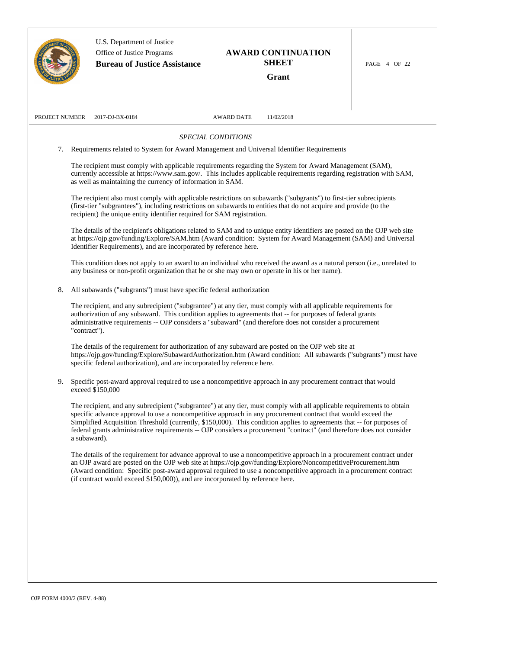|                | U.S. Department of Justice<br>Office of Justice Programs<br><b>Bureau of Justice Assistance</b> | <b>AWARD CONTINUATION</b><br><b>SHEET</b><br>Grant                                                                                                                                                                                                                                                                                                                                                                                                                                       | PAGE 4 OF 22 |
|----------------|-------------------------------------------------------------------------------------------------|------------------------------------------------------------------------------------------------------------------------------------------------------------------------------------------------------------------------------------------------------------------------------------------------------------------------------------------------------------------------------------------------------------------------------------------------------------------------------------------|--------------|
| PROJECT NUMBER | 2017-DJ-BX-0184                                                                                 | <b>AWARD DATE</b><br>11/02/2018                                                                                                                                                                                                                                                                                                                                                                                                                                                          |              |
|                |                                                                                                 | SPECIAL CONDITIONS                                                                                                                                                                                                                                                                                                                                                                                                                                                                       |              |
| 7.             | Requirements related to System for Award Management and Universal Identifier Requirements       |                                                                                                                                                                                                                                                                                                                                                                                                                                                                                          |              |
|                | as well as maintaining the currency of information in SAM.                                      | The recipient must comply with applicable requirements regarding the System for Award Management (SAM),<br>currently accessible at https://www.sam.gov/. This includes applicable requirements regarding registration with SAM,                                                                                                                                                                                                                                                          |              |
|                | recipient) the unique entity identifier required for SAM registration.                          | The recipient also must comply with applicable restrictions on subawards ("subgrants") to first-tier subrecipients<br>(first-tier "subgrantees"), including restrictions on subawards to entities that do not acquire and provide (to the                                                                                                                                                                                                                                                |              |
|                | Identifier Requirements), and are incorporated by reference here.                               | The details of the recipient's obligations related to SAM and to unique entity identifiers are posted on the OJP web site<br>at https://ojp.gov/funding/Explore/SAM.htm (Award condition: System for Award Management (SAM) and Universal                                                                                                                                                                                                                                                |              |
|                | any business or non-profit organization that he or she may own or operate in his or her name).  | This condition does not apply to an award to an individual who received the award as a natural person (i.e., unrelated to                                                                                                                                                                                                                                                                                                                                                                |              |
| 8.             | All subawards ("subgrants") must have specific federal authorization                            |                                                                                                                                                                                                                                                                                                                                                                                                                                                                                          |              |
|                | "contract").                                                                                    | The recipient, and any subrecipient ("subgrantee") at any tier, must comply with all applicable requirements for<br>authorization of any subaward. This condition applies to agreements that -- for purposes of federal grants<br>administrative requirements -- OJP considers a "subaward" (and therefore does not consider a procurement                                                                                                                                               |              |
|                | specific federal authorization), and are incorporated by reference here.                        | The details of the requirement for authorization of any subaward are posted on the OJP web site at<br>https://ojp.gov/funding/Explore/SubawardAuthorization.htm (Award condition: All subawards ("subgrants") must have                                                                                                                                                                                                                                                                  |              |
| 9.             | exceed \$150,000                                                                                | Specific post-award approval required to use a noncompetitive approach in any procurement contract that would                                                                                                                                                                                                                                                                                                                                                                            |              |
|                | a subaward).                                                                                    | The recipient, and any subrecipient ("subgrantee") at any tier, must comply with all applicable requirements to obtain<br>specific advance approval to use a noncompetitive approach in any procurement contract that would exceed the<br>Simplified Acquisition Threshold (currently, \$150,000). This condition applies to agreements that -- for purposes of<br>federal grants administrative requirements -- OJP considers a procurement "contract" (and therefore does not consider |              |
|                | (if contract would exceed \$150,000)), and are incorporated by reference here.                  | The details of the requirement for advance approval to use a noncompetitive approach in a procurement contract under<br>an OJP award are posted on the OJP web site at https://ojp.gov/funding/Explore/NoncompetitiveProcurement.htm<br>(Award condition: Specific post-award approval required to use a noncompetitive approach in a procurement contract                                                                                                                               |              |
|                |                                                                                                 |                                                                                                                                                                                                                                                                                                                                                                                                                                                                                          |              |
|                |                                                                                                 |                                                                                                                                                                                                                                                                                                                                                                                                                                                                                          |              |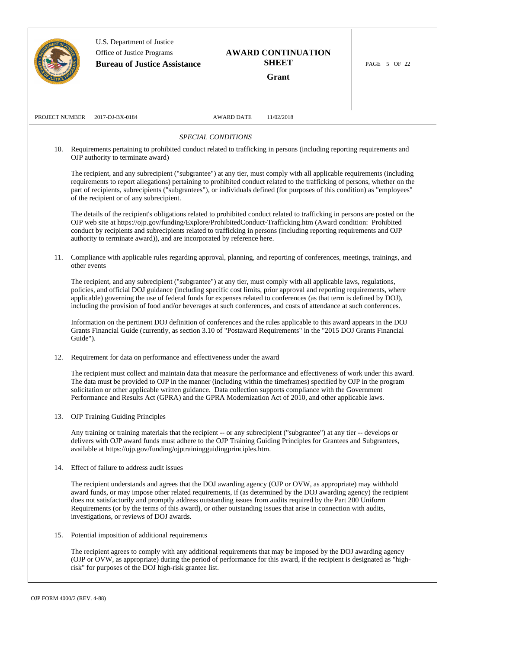|                | U.S. Department of Justice<br>Office of Justice Programs<br><b>Bureau of Justice Assistance</b> | <b>AWARD CONTINUATION</b><br><b>SHEET</b><br>Grant                                                                                                                                                                                                                                                                                                                                                                                                                                        | PAGE 5 OF 22 |
|----------------|-------------------------------------------------------------------------------------------------|-------------------------------------------------------------------------------------------------------------------------------------------------------------------------------------------------------------------------------------------------------------------------------------------------------------------------------------------------------------------------------------------------------------------------------------------------------------------------------------------|--------------|
| PROJECT NUMBER | 2017-DJ-BX-0184                                                                                 | <b>AWARD DATE</b><br>11/02/2018                                                                                                                                                                                                                                                                                                                                                                                                                                                           |              |
|                |                                                                                                 | SPECIAL CONDITIONS                                                                                                                                                                                                                                                                                                                                                                                                                                                                        |              |
| 10.            | OJP authority to terminate award)                                                               | Requirements pertaining to prohibited conduct related to trafficking in persons (including reporting requirements and                                                                                                                                                                                                                                                                                                                                                                     |              |
|                | of the recipient or of any subrecipient.                                                        | The recipient, and any subrecipient ("subgrantee") at any tier, must comply with all applicable requirements (including<br>requirements to report allegations) pertaining to prohibited conduct related to the trafficking of persons, whether on the<br>part of recipients, subrecipients ("subgrantees"), or individuals defined (for purposes of this condition) as "employees"                                                                                                        |              |
|                | authority to terminate award)), and are incorporated by reference here.                         | The details of the recipient's obligations related to prohibited conduct related to trafficking in persons are posted on the<br>OJP web site at https://ojp.gov/funding/Explore/ProhibitedConduct-Trafficking.htm (Award condition: Prohibited<br>conduct by recipients and subrecipients related to trafficking in persons (including reporting requirements and OJP                                                                                                                     |              |
| 11.            | other events                                                                                    | Compliance with applicable rules regarding approval, planning, and reporting of conferences, meetings, trainings, and                                                                                                                                                                                                                                                                                                                                                                     |              |
|                |                                                                                                 | The recipient, and any subrecipient ("subgrantee") at any tier, must comply with all applicable laws, regulations,<br>policies, and official DOJ guidance (including specific cost limits, prior approval and reporting requirements, where<br>applicable) governing the use of federal funds for expenses related to conferences (as that term is defined by DOJ),<br>including the provision of food and/or beverages at such conferences, and costs of attendance at such conferences. |              |
|                | Guide").                                                                                        | Information on the pertinent DOJ definition of conferences and the rules applicable to this award appears in the DOJ<br>Grants Financial Guide (currently, as section 3.10 of "Postaward Requirements" in the "2015 DOJ Grants Financial                                                                                                                                                                                                                                                  |              |
| 12.            | Requirement for data on performance and effectiveness under the award                           |                                                                                                                                                                                                                                                                                                                                                                                                                                                                                           |              |
|                |                                                                                                 | The recipient must collect and maintain data that measure the performance and effectiveness of work under this award.<br>The data must be provided to OJP in the manner (including within the timeframes) specified by OJP in the program<br>solicitation or other applicable written guidance. Data collection supports compliance with the Government<br>Performance and Results Act (GPRA) and the GPRA Modernization Act of 2010, and other applicable laws.                          |              |
| 13.            | <b>OJP</b> Training Guiding Principles                                                          |                                                                                                                                                                                                                                                                                                                                                                                                                                                                                           |              |
|                | available at https://ojp.gov/funding/ojptrainingguidingprinciples.htm.                          | Any training or training materials that the recipient -- or any subrecipient ("subgrantee") at any tier -- develops or<br>delivers with OJP award funds must adhere to the OJP Training Guiding Principles for Grantees and Subgrantees,                                                                                                                                                                                                                                                  |              |
| 14.            | Effect of failure to address audit issues                                                       |                                                                                                                                                                                                                                                                                                                                                                                                                                                                                           |              |
|                | investigations, or reviews of DOJ awards.                                                       | The recipient understands and agrees that the DOJ awarding agency (OJP or OVW, as appropriate) may withhold<br>award funds, or may impose other related requirements, if (as determined by the DOJ awarding agency) the recipient<br>does not satisfactorily and promptly address outstanding issues from audits required by the Part 200 Uniform<br>Requirements (or by the terms of this award), or other outstanding issues that arise in connection with audits,                      |              |
| 15.            | Potential imposition of additional requirements                                                 |                                                                                                                                                                                                                                                                                                                                                                                                                                                                                           |              |
|                | risk" for purposes of the DOJ high-risk grantee list.                                           | The recipient agrees to comply with any additional requirements that may be imposed by the DOJ awarding agency<br>(OJP or OVW, as appropriate) during the period of performance for this award, if the recipient is designated as "high-                                                                                                                                                                                                                                                  |              |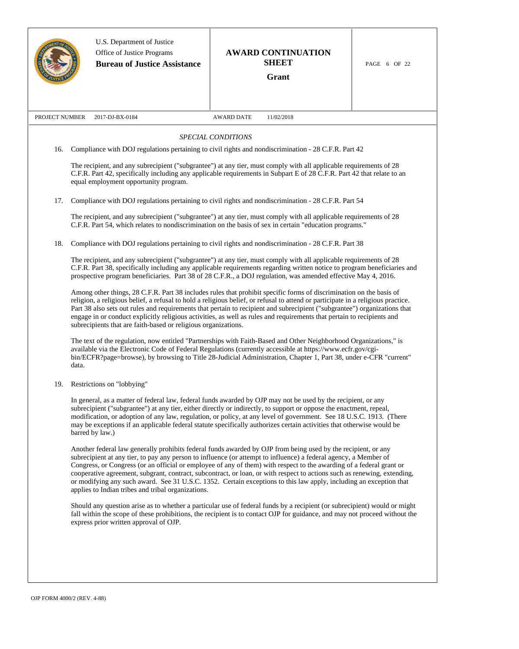|                | U.S. Department of Justice<br>Office of Justice Programs<br><b>Bureau of Justice Assistance</b> | <b>AWARD CONTINUATION</b><br><b>SHEET</b><br>Grant                                                                                                                                                                                                                                                                                                                                                                                                                                                                                                                                                          | PAGE 6 OF 22 |
|----------------|-------------------------------------------------------------------------------------------------|-------------------------------------------------------------------------------------------------------------------------------------------------------------------------------------------------------------------------------------------------------------------------------------------------------------------------------------------------------------------------------------------------------------------------------------------------------------------------------------------------------------------------------------------------------------------------------------------------------------|--------------|
| PROJECT NUMBER | 2017-DJ-BX-0184                                                                                 | <b>AWARD DATE</b><br>11/02/2018                                                                                                                                                                                                                                                                                                                                                                                                                                                                                                                                                                             |              |
|                |                                                                                                 | SPECIAL CONDITIONS                                                                                                                                                                                                                                                                                                                                                                                                                                                                                                                                                                                          |              |
| 16.            |                                                                                                 | Compliance with DOJ regulations pertaining to civil rights and nondiscrimination - 28 C.F.R. Part 42                                                                                                                                                                                                                                                                                                                                                                                                                                                                                                        |              |
|                | equal employment opportunity program.                                                           | The recipient, and any subrecipient ("subgrantee") at any tier, must comply with all applicable requirements of 28<br>C.F.R. Part 42, specifically including any applicable requirements in Subpart E of 28 C.F.R. Part 42 that relate to an                                                                                                                                                                                                                                                                                                                                                                |              |
| 17.            |                                                                                                 | Compliance with DOJ regulations pertaining to civil rights and nondiscrimination - 28 C.F.R. Part 54                                                                                                                                                                                                                                                                                                                                                                                                                                                                                                        |              |
|                |                                                                                                 | The recipient, and any subrecipient ("subgrantee") at any tier, must comply with all applicable requirements of 28<br>C.F.R. Part 54, which relates to nondiscrimination on the basis of sex in certain "education programs."                                                                                                                                                                                                                                                                                                                                                                               |              |
| 18.            |                                                                                                 | Compliance with DOJ regulations pertaining to civil rights and nondiscrimination - 28 C.F.R. Part 38                                                                                                                                                                                                                                                                                                                                                                                                                                                                                                        |              |
|                |                                                                                                 | The recipient, and any subrecipient ("subgrantee") at any tier, must comply with all applicable requirements of 28<br>C.F.R. Part 38, specifically including any applicable requirements regarding written notice to program beneficiaries and<br>prospective program beneficiaries. Part 38 of 28 C.F.R., a DOJ regulation, was amended effective May 4, 2016.                                                                                                                                                                                                                                             |              |
|                | subrecipients that are faith-based or religious organizations.                                  | Among other things, 28 C.F.R. Part 38 includes rules that prohibit specific forms of discrimination on the basis of<br>religion, a religious belief, a refusal to hold a religious belief, or refusal to attend or participate in a religious practice.<br>Part 38 also sets out rules and requirements that pertain to recipient and subrecipient ("subgrantee") organizations that<br>engage in or conduct explicitly religious activities, as well as rules and requirements that pertain to recipients and                                                                                              |              |
| data.          |                                                                                                 | The text of the regulation, now entitled "Partnerships with Faith-Based and Other Neighborhood Organizations," is<br>available via the Electronic Code of Federal Regulations (currently accessible at https://www.ecfr.gov/cgi-<br>bin/ECFR?page=browse), by browsing to Title 28-Judicial Administration, Chapter 1, Part 38, under e-CFR "current"                                                                                                                                                                                                                                                       |              |
| 19.            | Restrictions on "lobbying"                                                                      |                                                                                                                                                                                                                                                                                                                                                                                                                                                                                                                                                                                                             |              |
|                | barred by law.)                                                                                 | In general, as a matter of federal law, federal funds awarded by OJP may not be used by the recipient, or any<br>subrecipient ("subgrantee") at any tier, either directly or indirectly, to support or oppose the enactment, repeal,<br>modification, or adoption of any law, regulation, or policy, at any level of government. See 18 U.S.C. 1913. (There<br>may be exceptions if an applicable federal statute specifically authorizes certain activities that otherwise would be                                                                                                                        |              |
|                | applies to Indian tribes and tribal organizations.                                              | Another federal law generally prohibits federal funds awarded by OJP from being used by the recipient, or any<br>subrecipient at any tier, to pay any person to influence (or attempt to influence) a federal agency, a Member of<br>Congress, or Congress (or an official or employee of any of them) with respect to the awarding of a federal grant or<br>cooperative agreement, subgrant, contract, subcontract, or loan, or with respect to actions such as renewing, extending,<br>or modifying any such award. See 31 U.S.C. 1352. Certain exceptions to this law apply, including an exception that |              |
|                | express prior written approval of OJP.                                                          | Should any question arise as to whether a particular use of federal funds by a recipient (or subrecipient) would or might<br>fall within the scope of these prohibitions, the recipient is to contact OJP for guidance, and may not proceed without the                                                                                                                                                                                                                                                                                                                                                     |              |
|                |                                                                                                 |                                                                                                                                                                                                                                                                                                                                                                                                                                                                                                                                                                                                             |              |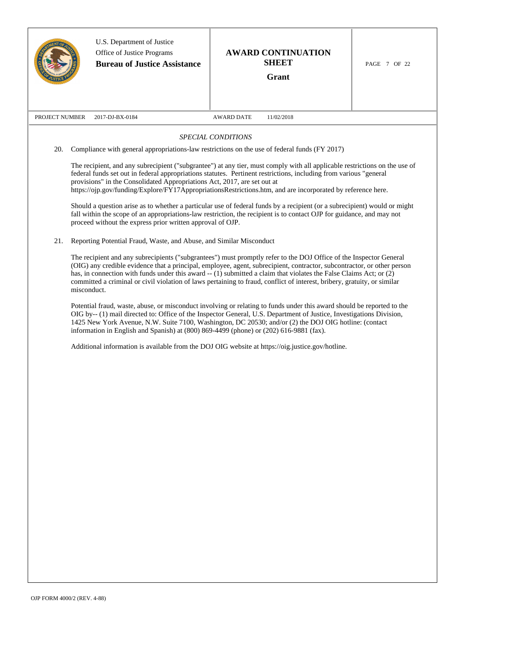|                |             | U.S. Department of Justice<br>Office of Justice Programs<br><b>Bureau of Justice Assistance</b>                                        | <b>AWARD CONTINUATION</b><br><b>SHEET</b><br>Grant                                                                                                                                                                                                                                                                                                                                                                                                                                                                                                                                                                                                                                                                                                                                                                                                          | PAGE 7 OF 22 |
|----------------|-------------|----------------------------------------------------------------------------------------------------------------------------------------|-------------------------------------------------------------------------------------------------------------------------------------------------------------------------------------------------------------------------------------------------------------------------------------------------------------------------------------------------------------------------------------------------------------------------------------------------------------------------------------------------------------------------------------------------------------------------------------------------------------------------------------------------------------------------------------------------------------------------------------------------------------------------------------------------------------------------------------------------------------|--------------|
| PROJECT NUMBER |             | 2017-DJ-BX-0184                                                                                                                        | 11/02/2018<br><b>AWARD DATE</b>                                                                                                                                                                                                                                                                                                                                                                                                                                                                                                                                                                                                                                                                                                                                                                                                                             |              |
|                |             |                                                                                                                                        | SPECIAL CONDITIONS                                                                                                                                                                                                                                                                                                                                                                                                                                                                                                                                                                                                                                                                                                                                                                                                                                          |              |
| 20.            |             |                                                                                                                                        | Compliance with general appropriations-law restrictions on the use of federal funds (FY 2017)                                                                                                                                                                                                                                                                                                                                                                                                                                                                                                                                                                                                                                                                                                                                                               |              |
|                |             | provisions" in the Consolidated Appropriations Act, 2017, are set out at<br>proceed without the express prior written approval of OJP. | The recipient, and any subrecipient ("subgrantee") at any tier, must comply with all applicable restrictions on the use of<br>federal funds set out in federal appropriations statutes. Pertinent restrictions, including from various "general<br>https://ojp.gov/funding/Explore/FY17AppropriationsRestrictions.htm, and are incorporated by reference here.<br>Should a question arise as to whether a particular use of federal funds by a recipient (or a subrecipient) would or might<br>fall within the scope of an appropriations-law restriction, the recipient is to contact OJP for guidance, and may not                                                                                                                                                                                                                                        |              |
| 21.            |             | Reporting Potential Fraud, Waste, and Abuse, and Similar Misconduct                                                                    |                                                                                                                                                                                                                                                                                                                                                                                                                                                                                                                                                                                                                                                                                                                                                                                                                                                             |              |
|                | misconduct. |                                                                                                                                        | The recipient and any subrecipients ("subgrantees") must promptly refer to the DOJ Office of the Inspector General<br>(OIG) any credible evidence that a principal, employee, agent, subrecipient, contractor, subcontractor, or other person<br>has, in connection with funds under this award $-$ (1) submitted a claim that violates the False Claims Act; or (2)<br>committed a criminal or civil violation of laws pertaining to fraud, conflict of interest, bribery, gratuity, or similar<br>Potential fraud, waste, abuse, or misconduct involving or relating to funds under this award should be reported to the<br>OIG by-- (1) mail directed to: Office of the Inspector General, U.S. Department of Justice, Investigations Division,<br>1425 New York Avenue, N.W. Suite 7100, Washington, DC 20530; and/or (2) the DOJ OIG hotline: (contact |              |
|                |             | information in English and Spanish) at $(800) 869-4499$ (phone) or $(202) 616-9881$ (fax).                                             | Additional information is available from the DOJ OIG website at https://oig.justice.gov/hotline.                                                                                                                                                                                                                                                                                                                                                                                                                                                                                                                                                                                                                                                                                                                                                            |              |
|                |             |                                                                                                                                        |                                                                                                                                                                                                                                                                                                                                                                                                                                                                                                                                                                                                                                                                                                                                                                                                                                                             |              |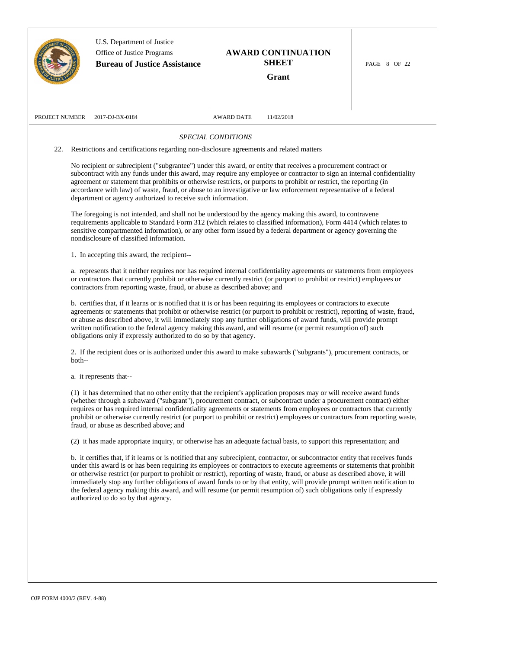|                | U.S. Department of Justice<br>Office of Justice Programs<br><b>Bureau of Justice Assistance</b> | <b>AWARD CONTINUATION</b><br><b>SHEET</b><br>Grant                                                                                                                                                                                                                                                                                                                                                                                                                                                                                                                                                                                                                                                                                                                                                                                            | PAGE 8 OF 22 |  |
|----------------|-------------------------------------------------------------------------------------------------|-----------------------------------------------------------------------------------------------------------------------------------------------------------------------------------------------------------------------------------------------------------------------------------------------------------------------------------------------------------------------------------------------------------------------------------------------------------------------------------------------------------------------------------------------------------------------------------------------------------------------------------------------------------------------------------------------------------------------------------------------------------------------------------------------------------------------------------------------|--------------|--|
| PROJECT NUMBER | 2017-DJ-BX-0184                                                                                 | <b>AWARD DATE</b><br>11/02/2018                                                                                                                                                                                                                                                                                                                                                                                                                                                                                                                                                                                                                                                                                                                                                                                                               |              |  |
|                |                                                                                                 | SPECIAL CONDITIONS                                                                                                                                                                                                                                                                                                                                                                                                                                                                                                                                                                                                                                                                                                                                                                                                                            |              |  |
| 22.            | Restrictions and certifications regarding non-disclosure agreements and related matters         |                                                                                                                                                                                                                                                                                                                                                                                                                                                                                                                                                                                                                                                                                                                                                                                                                                               |              |  |
|                | department or agency authorized to receive such information.                                    | No recipient or subrecipient ("subgrantee") under this award, or entity that receives a procurement contract or<br>subcontract with any funds under this award, may require any employee or contractor to sign an internal confidentiality<br>agreement or statement that prohibits or otherwise restricts, or purports to prohibit or restrict, the reporting (in<br>accordance with law) of waste, fraud, or abuse to an investigative or law enforcement representative of a federal<br>The foregoing is not intended, and shall not be understood by the agency making this award, to contravene<br>requirements applicable to Standard Form 312 (which relates to classified information), Form 4414 (which relates to<br>sensitive compartmented information), or any other form issued by a federal department or agency governing the |              |  |
|                | nondisclosure of classified information.<br>1. In accepting this award, the recipient--         |                                                                                                                                                                                                                                                                                                                                                                                                                                                                                                                                                                                                                                                                                                                                                                                                                                               |              |  |
|                | contractors from reporting waste, fraud, or abuse as described above; and                       | a. represents that it neither requires nor has required internal confidentiality agreements or statements from employees<br>or contractors that currently prohibit or otherwise currently restrict (or purport to prohibit or restrict) employees or                                                                                                                                                                                                                                                                                                                                                                                                                                                                                                                                                                                          |              |  |
|                | obligations only if expressly authorized to do so by that agency.                               | b. certifies that, if it learns or is notified that it is or has been requiring its employees or contractors to execute<br>agreements or statements that prohibit or otherwise restrict (or purport to prohibit or restrict), reporting of waste, fraud,<br>or abuse as described above, it will immediately stop any further obligations of award funds, will provide prompt<br>written notification to the federal agency making this award, and will resume (or permit resumption of) such                                                                                                                                                                                                                                                                                                                                                 |              |  |
|                | both--                                                                                          | 2. If the recipient does or is authorized under this award to make subawards ("subgrants"), procurement contracts, or                                                                                                                                                                                                                                                                                                                                                                                                                                                                                                                                                                                                                                                                                                                         |              |  |
|                | a. it represents that--                                                                         |                                                                                                                                                                                                                                                                                                                                                                                                                                                                                                                                                                                                                                                                                                                                                                                                                                               |              |  |
|                | fraud, or abuse as described above; and                                                         | (1) it has determined that no other entity that the recipient's application proposes may or will receive award funds<br>(whether through a subaward ("subgrant"), procurement contract, or subcontract under a procurement contract) either<br>requires or has required internal confidentiality agreements or statements from employees or contractors that currently<br>prohibit or otherwise currently restrict (or purport to prohibit or restrict) employees or contractors from reporting waste,                                                                                                                                                                                                                                                                                                                                        |              |  |
|                |                                                                                                 | (2) it has made appropriate inquiry, or otherwise has an adequate factual basis, to support this representation; and                                                                                                                                                                                                                                                                                                                                                                                                                                                                                                                                                                                                                                                                                                                          |              |  |
|                | authorized to do so by that agency.                                                             | b. it certifies that, if it learns or is notified that any subrecipient, contractor, or subcontractor entity that receives funds<br>under this award is or has been requiring its employees or contractors to execute agreements or statements that prohibit<br>or otherwise restrict (or purport to prohibit or restrict), reporting of waste, fraud, or abuse as described above, it will<br>immediately stop any further obligations of award funds to or by that entity, will provide prompt written notification to<br>the federal agency making this award, and will resume (or permit resumption of) such obligations only if expressly                                                                                                                                                                                                |              |  |
|                |                                                                                                 |                                                                                                                                                                                                                                                                                                                                                                                                                                                                                                                                                                                                                                                                                                                                                                                                                                               |              |  |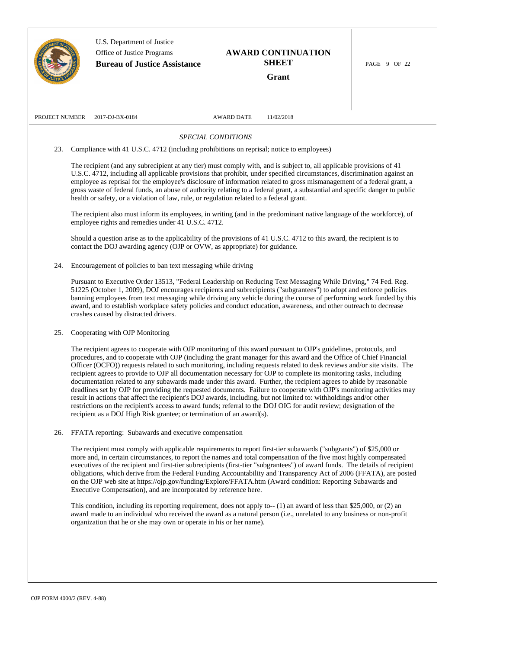|                | U.S. Department of Justice<br>Office of Justice Programs<br><b>Bureau of Justice Assistance</b>                                                                                                                                                                                                                                                                                                                                                                                                                            | <b>AWARD CONTINUATION</b><br><b>SHEET</b><br>Grant                                                                                                                                                                                                                                                                                                                                                                                                                                                                                                                                                                                                                                                                                                                                                                                                                                                                                                                                   | PAGE 9 OF 22 |  |  |
|----------------|----------------------------------------------------------------------------------------------------------------------------------------------------------------------------------------------------------------------------------------------------------------------------------------------------------------------------------------------------------------------------------------------------------------------------------------------------------------------------------------------------------------------------|--------------------------------------------------------------------------------------------------------------------------------------------------------------------------------------------------------------------------------------------------------------------------------------------------------------------------------------------------------------------------------------------------------------------------------------------------------------------------------------------------------------------------------------------------------------------------------------------------------------------------------------------------------------------------------------------------------------------------------------------------------------------------------------------------------------------------------------------------------------------------------------------------------------------------------------------------------------------------------------|--------------|--|--|
| PROJECT NUMBER | 2017-DJ-BX-0184                                                                                                                                                                                                                                                                                                                                                                                                                                                                                                            | <b>AWARD DATE</b><br>11/02/2018                                                                                                                                                                                                                                                                                                                                                                                                                                                                                                                                                                                                                                                                                                                                                                                                                                                                                                                                                      |              |  |  |
|                |                                                                                                                                                                                                                                                                                                                                                                                                                                                                                                                            | SPECIAL CONDITIONS                                                                                                                                                                                                                                                                                                                                                                                                                                                                                                                                                                                                                                                                                                                                                                                                                                                                                                                                                                   |              |  |  |
| 23.            | Compliance with 41 U.S.C. 4712 (including prohibitions on reprisal; notice to employees)                                                                                                                                                                                                                                                                                                                                                                                                                                   |                                                                                                                                                                                                                                                                                                                                                                                                                                                                                                                                                                                                                                                                                                                                                                                                                                                                                                                                                                                      |              |  |  |
|                | health or safety, or a violation of law, rule, or regulation related to a federal grant.                                                                                                                                                                                                                                                                                                                                                                                                                                   | The recipient (and any subrecipient at any tier) must comply with, and is subject to, all applicable provisions of 41<br>U.S.C. 4712, including all applicable provisions that prohibit, under specified circumstances, discrimination against an<br>employee as reprisal for the employee's disclosure of information related to gross mismanagement of a federal grant, a<br>gross waste of federal funds, an abuse of authority relating to a federal grant, a substantial and specific danger to public<br>The recipient also must inform its employees, in writing (and in the predominant native language of the workforce), of                                                                                                                                                                                                                                                                                                                                                |              |  |  |
|                | employee rights and remedies under 41 U.S.C. 4712.                                                                                                                                                                                                                                                                                                                                                                                                                                                                         |                                                                                                                                                                                                                                                                                                                                                                                                                                                                                                                                                                                                                                                                                                                                                                                                                                                                                                                                                                                      |              |  |  |
|                | contact the DOJ awarding agency (OJP or OVW, as appropriate) for guidance.                                                                                                                                                                                                                                                                                                                                                                                                                                                 | Should a question arise as to the applicability of the provisions of 41 U.S.C. 4712 to this award, the recipient is to                                                                                                                                                                                                                                                                                                                                                                                                                                                                                                                                                                                                                                                                                                                                                                                                                                                               |              |  |  |
| 24.            | Encouragement of policies to ban text messaging while driving                                                                                                                                                                                                                                                                                                                                                                                                                                                              |                                                                                                                                                                                                                                                                                                                                                                                                                                                                                                                                                                                                                                                                                                                                                                                                                                                                                                                                                                                      |              |  |  |
|                | Pursuant to Executive Order 13513, "Federal Leadership on Reducing Text Messaging While Driving," 74 Fed. Reg.<br>51225 (October 1, 2009), DOJ encourages recipients and subrecipients ("subgrantees") to adopt and enforce policies<br>banning employees from text messaging while driving any vehicle during the course of performing work funded by this<br>award, and to establish workplace safety policies and conduct education, awareness, and other outreach to decrease<br>crashes caused by distracted drivers. |                                                                                                                                                                                                                                                                                                                                                                                                                                                                                                                                                                                                                                                                                                                                                                                                                                                                                                                                                                                      |              |  |  |
| 25.            | Cooperating with OJP Monitoring                                                                                                                                                                                                                                                                                                                                                                                                                                                                                            |                                                                                                                                                                                                                                                                                                                                                                                                                                                                                                                                                                                                                                                                                                                                                                                                                                                                                                                                                                                      |              |  |  |
|                | recipient as a DOJ High Risk grantee; or termination of an award(s).                                                                                                                                                                                                                                                                                                                                                                                                                                                       | The recipient agrees to cooperate with OJP monitoring of this award pursuant to OJP's guidelines, protocols, and<br>procedures, and to cooperate with OJP (including the grant manager for this award and the Office of Chief Financial<br>Officer (OCFO)) requests related to such monitoring, including requests related to desk reviews and/or site visits. The<br>recipient agrees to provide to OJP all documentation necessary for OJP to complete its monitoring tasks, including<br>documentation related to any subawards made under this award. Further, the recipient agrees to abide by reasonable<br>deadlines set by OJP for providing the requested documents. Failure to cooperate with OJP's monitoring activities may<br>result in actions that affect the recipient's DOJ awards, including, but not limited to: withholdings and/or other<br>restrictions on the recipient's access to award funds; referral to the DOJ OIG for audit review; designation of the |              |  |  |
| 26.            | FFATA reporting: Subawards and executive compensation                                                                                                                                                                                                                                                                                                                                                                                                                                                                      |                                                                                                                                                                                                                                                                                                                                                                                                                                                                                                                                                                                                                                                                                                                                                                                                                                                                                                                                                                                      |              |  |  |
|                | Executive Compensation), and are incorporated by reference here.                                                                                                                                                                                                                                                                                                                                                                                                                                                           | The recipient must comply with applicable requirements to report first-tier subawards ("subgrants") of \$25,000 or<br>more and, in certain circumstances, to report the names and total compensation of the five most highly compensated<br>executives of the recipient and first-tier subrecipients (first-tier "subgrantees") of award funds. The details of recipient<br>obligations, which derive from the Federal Funding Accountability and Transparency Act of 2006 (FFATA), are posted<br>on the OJP web site at https://ojp.gov/funding/Explore/FFATA.htm (Award condition: Reporting Subawards and                                                                                                                                                                                                                                                                                                                                                                         |              |  |  |
|                | organization that he or she may own or operate in his or her name).                                                                                                                                                                                                                                                                                                                                                                                                                                                        | This condition, including its reporting requirement, does not apply to- $(1)$ an award of less than \$25,000, or (2) an<br>award made to an individual who received the award as a natural person (i.e., unrelated to any business or non-profit                                                                                                                                                                                                                                                                                                                                                                                                                                                                                                                                                                                                                                                                                                                                     |              |  |  |
|                |                                                                                                                                                                                                                                                                                                                                                                                                                                                                                                                            |                                                                                                                                                                                                                                                                                                                                                                                                                                                                                                                                                                                                                                                                                                                                                                                                                                                                                                                                                                                      |              |  |  |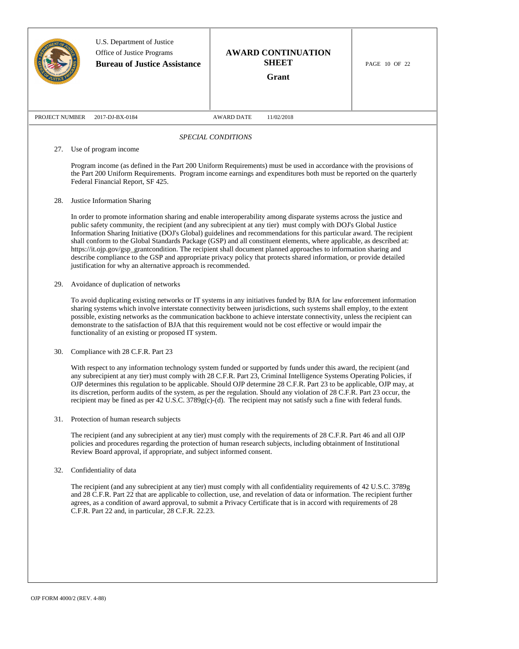|                |                                                                                                                                                                                                                                                                                                                                                                                                                                                                                                                                                                                                                                                                                                                                                                                                                                    | U.S. Department of Justice<br>Office of Justice Programs<br><b>Bureau of Justice Assistance</b> | <b>AWARD CONTINUATION</b><br><b>SHEET</b><br><b>Grant</b>                                                                                                                                                                                                                                                                                                                  | PAGE 10 OF 22 |  |  |
|----------------|------------------------------------------------------------------------------------------------------------------------------------------------------------------------------------------------------------------------------------------------------------------------------------------------------------------------------------------------------------------------------------------------------------------------------------------------------------------------------------------------------------------------------------------------------------------------------------------------------------------------------------------------------------------------------------------------------------------------------------------------------------------------------------------------------------------------------------|-------------------------------------------------------------------------------------------------|----------------------------------------------------------------------------------------------------------------------------------------------------------------------------------------------------------------------------------------------------------------------------------------------------------------------------------------------------------------------------|---------------|--|--|
| PROJECT NUMBER | 2017-DJ-BX-0184                                                                                                                                                                                                                                                                                                                                                                                                                                                                                                                                                                                                                                                                                                                                                                                                                    |                                                                                                 | <b>AWARD DATE</b><br>11/02/2018                                                                                                                                                                                                                                                                                                                                            |               |  |  |
|                |                                                                                                                                                                                                                                                                                                                                                                                                                                                                                                                                                                                                                                                                                                                                                                                                                                    |                                                                                                 | SPECIAL CONDITIONS                                                                                                                                                                                                                                                                                                                                                         |               |  |  |
| 27.            | Use of program income<br>Federal Financial Report, SF 425.                                                                                                                                                                                                                                                                                                                                                                                                                                                                                                                                                                                                                                                                                                                                                                         |                                                                                                 | Program income (as defined in the Part 200 Uniform Requirements) must be used in accordance with the provisions of<br>the Part 200 Uniform Requirements. Program income earnings and expenditures both must be reported on the quarterly                                                                                                                                   |               |  |  |
| 28.            | Justice Information Sharing<br>In order to promote information sharing and enable interoperability among disparate systems across the justice and<br>public safety community, the recipient (and any subrecipient at any tier) must comply with DOJ's Global Justice<br>Information Sharing Initiative (DOJ's Global) guidelines and recommendations for this particular award. The recipient<br>shall conform to the Global Standards Package (GSP) and all constituent elements, where applicable, as described at:<br>https://it.ojp.gov/gsp_grantcondition. The recipient shall document planned approaches to information sharing and<br>describe compliance to the GSP and appropriate privacy policy that protects shared information, or provide detailed<br>justification for why an alternative approach is recommended. |                                                                                                 |                                                                                                                                                                                                                                                                                                                                                                            |               |  |  |
| 29.            | Avoidance of duplication of networks<br>To avoid duplicating existing networks or IT systems in any initiatives funded by BJA for law enforcement information<br>sharing systems which involve interstate connectivity between jurisdictions, such systems shall employ, to the extent<br>possible, existing networks as the communication backbone to achieve interstate connectivity, unless the recipient can<br>demonstrate to the satisfaction of BJA that this requirement would not be cost effective or would impair the<br>functionality of an existing or proposed IT system.                                                                                                                                                                                                                                            |                                                                                                 |                                                                                                                                                                                                                                                                                                                                                                            |               |  |  |
|                | Compliance with 28 C.F.R. Part 23<br>With respect to any information technology system funded or supported by funds under this award, the recipient (and<br>any subrecipient at any tier) must comply with 28 C.F.R. Part 23, Criminal Intelligence Systems Operating Policies, if<br>OJP determines this regulation to be applicable. Should OJP determine 28 C.F.R. Part 23 to be applicable, OJP may, at<br>its discretion, perform audits of the system, as per the regulation. Should any violation of 28 C.F.R. Part 23 occur, the<br>recipient may be fined as per 42 U.S.C. 3789g(c)-(d). The recipient may not satisfy such a fine with federal funds.                                                                                                                                                                    |                                                                                                 |                                                                                                                                                                                                                                                                                                                                                                            |               |  |  |
| 31.            | Protection of human research subjects                                                                                                                                                                                                                                                                                                                                                                                                                                                                                                                                                                                                                                                                                                                                                                                              | Review Board approval, if appropriate, and subject informed consent.                            | The recipient (and any subrecipient at any tier) must comply with the requirements of 28 C.F.R. Part 46 and all OJP<br>policies and procedures regarding the protection of human research subjects, including obtainment of Institutional                                                                                                                                  |               |  |  |
| 32.            | Confidentiality of data                                                                                                                                                                                                                                                                                                                                                                                                                                                                                                                                                                                                                                                                                                                                                                                                            | C.F.R. Part 22 and, in particular, 28 C.F.R. 22.23.                                             | The recipient (and any subrecipient at any tier) must comply with all confidentiality requirements of 42 U.S.C. 3789g<br>and 28 C.F.R. Part 22 that are applicable to collection, use, and revelation of data or information. The recipient further<br>agrees, as a condition of award approval, to submit a Privacy Certificate that is in accord with requirements of 28 |               |  |  |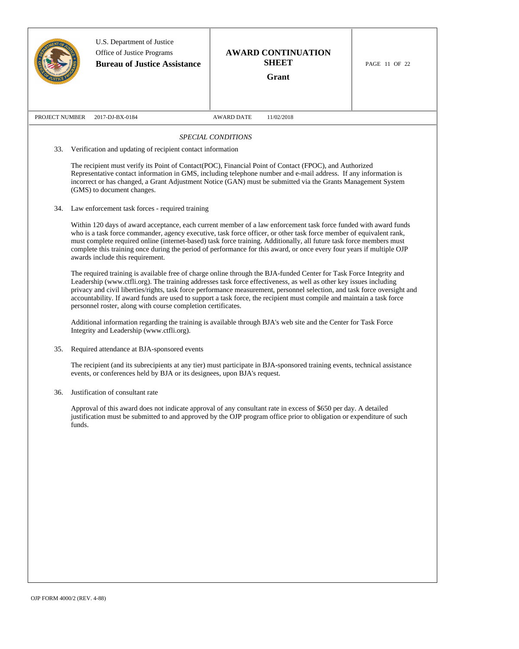|                |                                                                                                                                                                                                                                                                                                                                                                                                                                                                                                                                                                 | U.S. Department of Justice<br>Office of Justice Programs<br><b>Bureau of Justice Assistance</b> | <b>AWARD CONTINUATION</b><br><b>SHEET</b><br>Grant                                                                                                                                                                                                                                                                                                                                                                                                                                       | PAGE 11 OF 22 |  |  |
|----------------|-----------------------------------------------------------------------------------------------------------------------------------------------------------------------------------------------------------------------------------------------------------------------------------------------------------------------------------------------------------------------------------------------------------------------------------------------------------------------------------------------------------------------------------------------------------------|-------------------------------------------------------------------------------------------------|------------------------------------------------------------------------------------------------------------------------------------------------------------------------------------------------------------------------------------------------------------------------------------------------------------------------------------------------------------------------------------------------------------------------------------------------------------------------------------------|---------------|--|--|
| PROJECT NUMBER |                                                                                                                                                                                                                                                                                                                                                                                                                                                                                                                                                                 | 2017-DJ-BX-0184                                                                                 | <b>AWARD DATE</b><br>11/02/2018                                                                                                                                                                                                                                                                                                                                                                                                                                                          |               |  |  |
|                |                                                                                                                                                                                                                                                                                                                                                                                                                                                                                                                                                                 |                                                                                                 | SPECIAL CONDITIONS                                                                                                                                                                                                                                                                                                                                                                                                                                                                       |               |  |  |
| 33.            |                                                                                                                                                                                                                                                                                                                                                                                                                                                                                                                                                                 | Verification and updating of recipient contact information                                      |                                                                                                                                                                                                                                                                                                                                                                                                                                                                                          |               |  |  |
|                |                                                                                                                                                                                                                                                                                                                                                                                                                                                                                                                                                                 | (GMS) to document changes.                                                                      | The recipient must verify its Point of Contact(POC), Financial Point of Contact (FPOC), and Authorized<br>Representative contact information in GMS, including telephone number and e-mail address. If any information is<br>incorrect or has changed, a Grant Adjustment Notice (GAN) must be submitted via the Grants Management System                                                                                                                                                |               |  |  |
| 34.            |                                                                                                                                                                                                                                                                                                                                                                                                                                                                                                                                                                 | Law enforcement task forces - required training                                                 |                                                                                                                                                                                                                                                                                                                                                                                                                                                                                          |               |  |  |
|                |                                                                                                                                                                                                                                                                                                                                                                                                                                                                                                                                                                 | awards include this requirement.                                                                | Within 120 days of award acceptance, each current member of a law enforcement task force funded with award funds<br>who is a task force commander, agency executive, task force officer, or other task force member of equivalent rank,<br>must complete required online (internet-based) task force training. Additionally, all future task force members must<br>complete this training once during the period of performance for this award, or once every four years if multiple OJP |               |  |  |
|                | The required training is available free of charge online through the BJA-funded Center for Task Force Integrity and<br>Leadership (www.ctfli.org). The training addresses task force effectiveness, as well as other key issues including<br>privacy and civil liberties/rights, task force performance measurement, personnel selection, and task force oversight and<br>accountability. If award funds are used to support a task force, the recipient must compile and maintain a task force<br>personnel roster, along with course completion certificates. |                                                                                                 |                                                                                                                                                                                                                                                                                                                                                                                                                                                                                          |               |  |  |
|                |                                                                                                                                                                                                                                                                                                                                                                                                                                                                                                                                                                 | Integrity and Leadership (www.ctfli.org).                                                       | Additional information regarding the training is available through BJA's web site and the Center for Task Force                                                                                                                                                                                                                                                                                                                                                                          |               |  |  |
| 35.            |                                                                                                                                                                                                                                                                                                                                                                                                                                                                                                                                                                 | Required attendance at BJA-sponsored events                                                     |                                                                                                                                                                                                                                                                                                                                                                                                                                                                                          |               |  |  |
|                |                                                                                                                                                                                                                                                                                                                                                                                                                                                                                                                                                                 | events, or conferences held by BJA or its designees, upon BJA's request.                        | The recipient (and its subrecipients at any tier) must participate in BJA-sponsored training events, technical assistance                                                                                                                                                                                                                                                                                                                                                                |               |  |  |
| 36.            |                                                                                                                                                                                                                                                                                                                                                                                                                                                                                                                                                                 | Justification of consultant rate                                                                |                                                                                                                                                                                                                                                                                                                                                                                                                                                                                          |               |  |  |
|                | funds.                                                                                                                                                                                                                                                                                                                                                                                                                                                                                                                                                          |                                                                                                 | Approval of this award does not indicate approval of any consultant rate in excess of \$650 per day. A detailed<br>justification must be submitted to and approved by the OJP program office prior to obligation or expenditure of such                                                                                                                                                                                                                                                  |               |  |  |
|                |                                                                                                                                                                                                                                                                                                                                                                                                                                                                                                                                                                 |                                                                                                 |                                                                                                                                                                                                                                                                                                                                                                                                                                                                                          |               |  |  |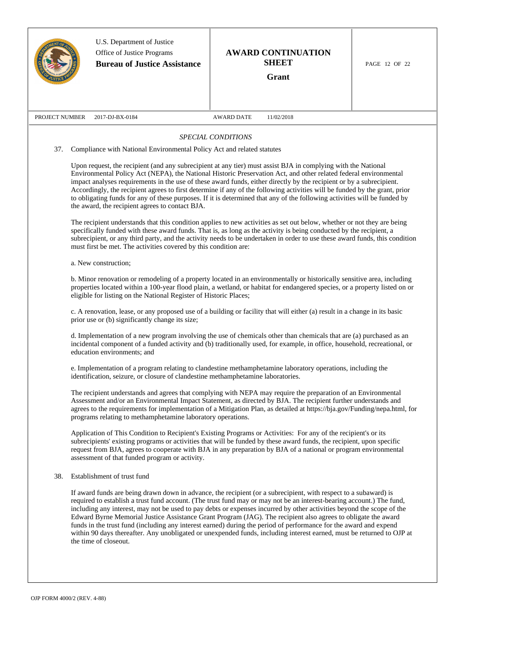|                | U.S. Department of Justice<br>Office of Justice Programs<br><b>Bureau of Justice Assistance</b>                                                                                                                                                                                                                                                                                                                                                                                                                                                                                                                                                                                                                                                            |                    | <b>AWARD CONTINUATION</b><br><b>SHEET</b><br>Grant | PAGE 12 OF 22 |
|----------------|------------------------------------------------------------------------------------------------------------------------------------------------------------------------------------------------------------------------------------------------------------------------------------------------------------------------------------------------------------------------------------------------------------------------------------------------------------------------------------------------------------------------------------------------------------------------------------------------------------------------------------------------------------------------------------------------------------------------------------------------------------|--------------------|----------------------------------------------------|---------------|
| PROJECT NUMBER | 2017-DJ-BX-0184                                                                                                                                                                                                                                                                                                                                                                                                                                                                                                                                                                                                                                                                                                                                            | <b>AWARD DATE</b>  | 11/02/2018                                         |               |
|                |                                                                                                                                                                                                                                                                                                                                                                                                                                                                                                                                                                                                                                                                                                                                                            | SPECIAL CONDITIONS |                                                    |               |
| 37.            | Compliance with National Environmental Policy Act and related statutes                                                                                                                                                                                                                                                                                                                                                                                                                                                                                                                                                                                                                                                                                     |                    |                                                    |               |
|                | Upon request, the recipient (and any subrecipient at any tier) must assist BJA in complying with the National<br>Environmental Policy Act (NEPA), the National Historic Preservation Act, and other related federal environmental<br>impact analyses requirements in the use of these award funds, either directly by the recipient or by a subrecipient.<br>Accordingly, the recipient agrees to first determine if any of the following activities will be funded by the grant, prior<br>to obligating funds for any of these purposes. If it is determined that any of the following activities will be funded by<br>the award, the recipient agrees to contact BJA.                                                                                    |                    |                                                    |               |
|                | The recipient understands that this condition applies to new activities as set out below, whether or not they are being<br>specifically funded with these award funds. That is, as long as the activity is being conducted by the recipient, a<br>subrecipient, or any third party, and the activity needs to be undertaken in order to use these award funds, this condition<br>must first be met. The activities covered by this condition are:                                                                                                                                                                                                                                                                                                          |                    |                                                    |               |
|                | a. New construction;                                                                                                                                                                                                                                                                                                                                                                                                                                                                                                                                                                                                                                                                                                                                       |                    |                                                    |               |
|                | b. Minor renovation or remodeling of a property located in an environmentally or historically sensitive area, including<br>properties located within a 100-year flood plain, a wetland, or habitat for endangered species, or a property listed on or<br>eligible for listing on the National Register of Historic Places;                                                                                                                                                                                                                                                                                                                                                                                                                                 |                    |                                                    |               |
|                | c. A renovation, lease, or any proposed use of a building or facility that will either (a) result in a change in its basic<br>prior use or (b) significantly change its size;                                                                                                                                                                                                                                                                                                                                                                                                                                                                                                                                                                              |                    |                                                    |               |
|                | d. Implementation of a new program involving the use of chemicals other than chemicals that are (a) purchased as an<br>incidental component of a funded activity and (b) traditionally used, for example, in office, household, recreational, or<br>education environments; and                                                                                                                                                                                                                                                                                                                                                                                                                                                                            |                    |                                                    |               |
|                | e. Implementation of a program relating to clandestine methamphetamine laboratory operations, including the<br>identification, seizure, or closure of clandestine methamphetamine laboratories.                                                                                                                                                                                                                                                                                                                                                                                                                                                                                                                                                            |                    |                                                    |               |
|                | The recipient understands and agrees that complying with NEPA may require the preparation of an Environmental<br>Assessment and/or an Environmental Impact Statement, as directed by BJA. The recipient further understands and<br>agrees to the requirements for implementation of a Mitigation Plan, as detailed at https://bja.gov/Funding/nepa.html, for<br>programs relating to methamphetamine laboratory operations.                                                                                                                                                                                                                                                                                                                                |                    |                                                    |               |
|                | Application of This Condition to Recipient's Existing Programs or Activities: For any of the recipient's or its<br>subrecipients' existing programs or activities that will be funded by these award funds, the recipient, upon specific<br>request from BJA, agrees to cooperate with BJA in any preparation by BJA of a national or program environmental<br>assessment of that funded program or activity.                                                                                                                                                                                                                                                                                                                                              |                    |                                                    |               |
| 38.            | Establishment of trust fund                                                                                                                                                                                                                                                                                                                                                                                                                                                                                                                                                                                                                                                                                                                                |                    |                                                    |               |
|                | If award funds are being drawn down in advance, the recipient (or a subrecipient, with respect to a subaward) is<br>required to establish a trust fund account. (The trust fund may or may not be an interest-bearing account.) The fund,<br>including any interest, may not be used to pay debts or expenses incurred by other activities beyond the scope of the<br>Edward Byrne Memorial Justice Assistance Grant Program (JAG). The recipient also agrees to obligate the award<br>funds in the trust fund (including any interest earned) during the period of performance for the award and expend<br>within 90 days thereafter. Any unobligated or unexpended funds, including interest earned, must be returned to OJP at<br>the time of closeout. |                    |                                                    |               |
|                |                                                                                                                                                                                                                                                                                                                                                                                                                                                                                                                                                                                                                                                                                                                                                            |                    |                                                    |               |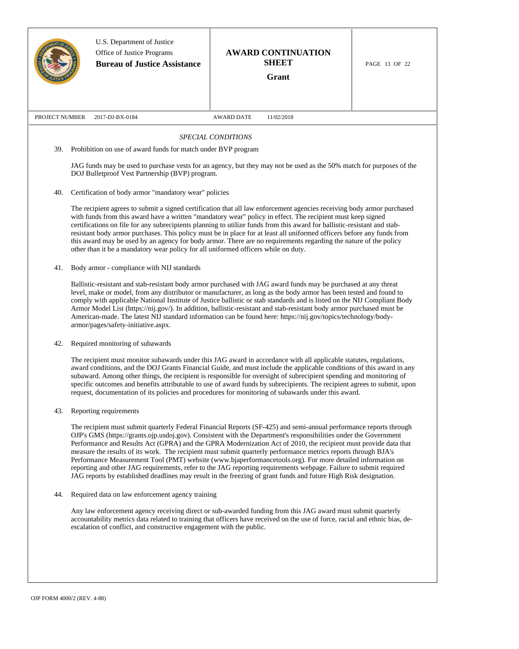|                | U.S. Department of Justice<br>Office of Justice Programs<br><b>Bureau of Justice Assistance</b>                                                                                                                                                                                                                                                                                                                                                                                                                                                                                                                                                    | <b>AWARD CONTINUATION</b><br><b>SHEET</b><br>Grant                                                                                                                                                                                                                                                                                                                                                                                                                                                                                                                                                                                                                                                                                                                                                                                 | PAGE 13 OF 22 |  |  |
|----------------|----------------------------------------------------------------------------------------------------------------------------------------------------------------------------------------------------------------------------------------------------------------------------------------------------------------------------------------------------------------------------------------------------------------------------------------------------------------------------------------------------------------------------------------------------------------------------------------------------------------------------------------------------|------------------------------------------------------------------------------------------------------------------------------------------------------------------------------------------------------------------------------------------------------------------------------------------------------------------------------------------------------------------------------------------------------------------------------------------------------------------------------------------------------------------------------------------------------------------------------------------------------------------------------------------------------------------------------------------------------------------------------------------------------------------------------------------------------------------------------------|---------------|--|--|
| PROJECT NUMBER | 2017-DJ-BX-0184                                                                                                                                                                                                                                                                                                                                                                                                                                                                                                                                                                                                                                    | <b>AWARD DATE</b><br>11/02/2018                                                                                                                                                                                                                                                                                                                                                                                                                                                                                                                                                                                                                                                                                                                                                                                                    |               |  |  |
|                |                                                                                                                                                                                                                                                                                                                                                                                                                                                                                                                                                                                                                                                    | <b>SPECIAL CONDITIONS</b>                                                                                                                                                                                                                                                                                                                                                                                                                                                                                                                                                                                                                                                                                                                                                                                                          |               |  |  |
| 39.            | Prohibition on use of award funds for match under BVP program                                                                                                                                                                                                                                                                                                                                                                                                                                                                                                                                                                                      |                                                                                                                                                                                                                                                                                                                                                                                                                                                                                                                                                                                                                                                                                                                                                                                                                                    |               |  |  |
|                | DOJ Bulletproof Vest Partnership (BVP) program.                                                                                                                                                                                                                                                                                                                                                                                                                                                                                                                                                                                                    | JAG funds may be used to purchase vests for an agency, but they may not be used as the 50% match for purposes of the                                                                                                                                                                                                                                                                                                                                                                                                                                                                                                                                                                                                                                                                                                               |               |  |  |
| 40.            | Certification of body armor "mandatory wear" policies                                                                                                                                                                                                                                                                                                                                                                                                                                                                                                                                                                                              |                                                                                                                                                                                                                                                                                                                                                                                                                                                                                                                                                                                                                                                                                                                                                                                                                                    |               |  |  |
|                | other than it be a mandatory wear policy for all uniformed officers while on duty.                                                                                                                                                                                                                                                                                                                                                                                                                                                                                                                                                                 | The recipient agrees to submit a signed certification that all law enforcement agencies receiving body armor purchased<br>with funds from this award have a written "mandatory wear" policy in effect. The recipient must keep signed<br>certifications on file for any subrecipients planning to utilize funds from this award for ballistic-resistant and stab-<br>resistant body armor purchases. This policy must be in place for at least all uniformed officers before any funds from<br>this award may be used by an agency for body armor. There are no requirements regarding the nature of the policy                                                                                                                                                                                                                    |               |  |  |
| 41.            | Body armor - compliance with NIJ standards                                                                                                                                                                                                                                                                                                                                                                                                                                                                                                                                                                                                         |                                                                                                                                                                                                                                                                                                                                                                                                                                                                                                                                                                                                                                                                                                                                                                                                                                    |               |  |  |
|                | Ballistic-resistant and stab-resistant body armor purchased with JAG award funds may be purchased at any threat<br>level, make or model, from any distributor or manufacturer, as long as the body armor has been tested and found to<br>comply with applicable National Institute of Justice ballistic or stab standards and is listed on the NIJ Compliant Body<br>Armor Model List (https://nij.gov/). In addition, ballistic-resistant and stab-resistant body armor purchased must be<br>American-made. The latest NIJ standard information can be found here: https://nij.gov/topics/technology/body-<br>armor/pages/safety-initiative.aspx. |                                                                                                                                                                                                                                                                                                                                                                                                                                                                                                                                                                                                                                                                                                                                                                                                                                    |               |  |  |
| 42.            | Required monitoring of subawards                                                                                                                                                                                                                                                                                                                                                                                                                                                                                                                                                                                                                   |                                                                                                                                                                                                                                                                                                                                                                                                                                                                                                                                                                                                                                                                                                                                                                                                                                    |               |  |  |
|                | The recipient must monitor subawards under this JAG award in accordance with all applicable statutes, regulations,<br>award conditions, and the DOJ Grants Financial Guide, and must include the applicable conditions of this award in any<br>subaward. Among other things, the recipient is responsible for oversight of subrecipient spending and monitoring of<br>specific outcomes and benefits attributable to use of award funds by subrecipients. The recipient agrees to submit, upon<br>request, documentation of its policies and procedures for monitoring of subawards under this award.                                              |                                                                                                                                                                                                                                                                                                                                                                                                                                                                                                                                                                                                                                                                                                                                                                                                                                    |               |  |  |
| 43.            | Reporting requirements                                                                                                                                                                                                                                                                                                                                                                                                                                                                                                                                                                                                                             |                                                                                                                                                                                                                                                                                                                                                                                                                                                                                                                                                                                                                                                                                                                                                                                                                                    |               |  |  |
|                |                                                                                                                                                                                                                                                                                                                                                                                                                                                                                                                                                                                                                                                    | The recipient must submit quarterly Federal Financial Reports (SF-425) and semi-annual performance reports through<br>OJP's GMS (https://grants.ojp.usdoj.gov). Consistent with the Department's responsibilities under the Government<br>Performance and Results Act (GPRA) and the GPRA Modernization Act of 2010, the recipient must provide data that<br>measure the results of its work. The recipient must submit quarterly performance metrics reports through BJA's<br>Performance Measurement Tool (PMT) website (www.bjaperformancetools.org). For more detailed information on<br>reporting and other JAG requirements, refer to the JAG reporting requirements webpage. Failure to submit required<br>JAG reports by established deadlines may result in the freezing of grant funds and future High Risk designation. |               |  |  |
| 44.            | Required data on law enforcement agency training                                                                                                                                                                                                                                                                                                                                                                                                                                                                                                                                                                                                   |                                                                                                                                                                                                                                                                                                                                                                                                                                                                                                                                                                                                                                                                                                                                                                                                                                    |               |  |  |
|                | escalation of conflict, and constructive engagement with the public.                                                                                                                                                                                                                                                                                                                                                                                                                                                                                                                                                                               | Any law enforcement agency receiving direct or sub-awarded funding from this JAG award must submit quarterly<br>accountability metrics data related to training that officers have received on the use of force, racial and ethnic bias, de-                                                                                                                                                                                                                                                                                                                                                                                                                                                                                                                                                                                       |               |  |  |
|                |                                                                                                                                                                                                                                                                                                                                                                                                                                                                                                                                                                                                                                                    |                                                                                                                                                                                                                                                                                                                                                                                                                                                                                                                                                                                                                                                                                                                                                                                                                                    |               |  |  |

 $\overline{\mathsf{I}}$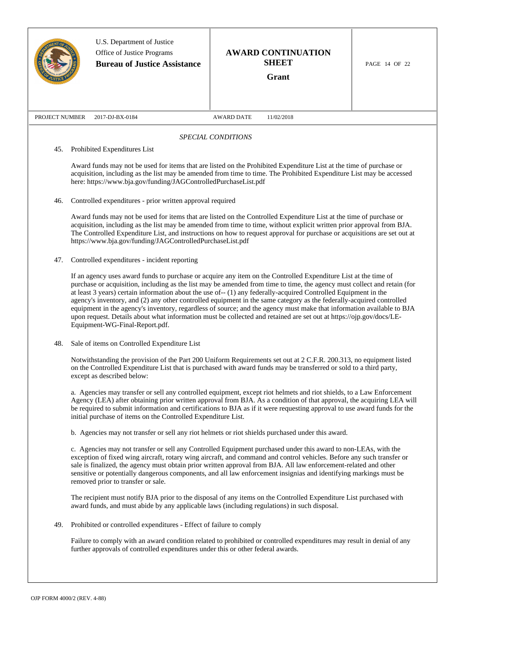|                |                                                                                                                        | U.S. Department of Justice<br>Office of Justice Programs<br><b>Bureau of Justice Assistance</b>                                                                                                                                                                                                                                                                                                                                                                                                                                                                                                                                                                                                                                                                           |                    | <b>AWARD CONTINUATION</b><br><b>SHEET</b><br>Grant | PAGE 14 OF 22 |
|----------------|------------------------------------------------------------------------------------------------------------------------|---------------------------------------------------------------------------------------------------------------------------------------------------------------------------------------------------------------------------------------------------------------------------------------------------------------------------------------------------------------------------------------------------------------------------------------------------------------------------------------------------------------------------------------------------------------------------------------------------------------------------------------------------------------------------------------------------------------------------------------------------------------------------|--------------------|----------------------------------------------------|---------------|
| PROJECT NUMBER |                                                                                                                        | 2017-DJ-BX-0184                                                                                                                                                                                                                                                                                                                                                                                                                                                                                                                                                                                                                                                                                                                                                           | <b>AWARD DATE</b>  | 11/02/2018                                         |               |
|                |                                                                                                                        |                                                                                                                                                                                                                                                                                                                                                                                                                                                                                                                                                                                                                                                                                                                                                                           | SPECIAL CONDITIONS |                                                    |               |
| 45.            |                                                                                                                        | Prohibited Expenditures List                                                                                                                                                                                                                                                                                                                                                                                                                                                                                                                                                                                                                                                                                                                                              |                    |                                                    |               |
|                |                                                                                                                        | Award funds may not be used for items that are listed on the Prohibited Expenditure List at the time of purchase or<br>acquisition, including as the list may be amended from time to time. The Prohibited Expenditure List may be accessed<br>here: https://www.bja.gov/funding/JAGControlledPurchaseList.pdf                                                                                                                                                                                                                                                                                                                                                                                                                                                            |                    |                                                    |               |
| 46.            |                                                                                                                        | Controlled expenditures - prior written approval required                                                                                                                                                                                                                                                                                                                                                                                                                                                                                                                                                                                                                                                                                                                 |                    |                                                    |               |
|                |                                                                                                                        | Award funds may not be used for items that are listed on the Controlled Expenditure List at the time of purchase or<br>acquisition, including as the list may be amended from time to time, without explicit written prior approval from BJA.<br>The Controlled Expenditure List, and instructions on how to request approval for purchase or acquisitions are set out at<br>https://www.bja.gov/funding/JAGControlledPurchaseList.pdf                                                                                                                                                                                                                                                                                                                                    |                    |                                                    |               |
| 47.            |                                                                                                                        | Controlled expenditures - incident reporting                                                                                                                                                                                                                                                                                                                                                                                                                                                                                                                                                                                                                                                                                                                              |                    |                                                    |               |
|                |                                                                                                                        | If an agency uses award funds to purchase or acquire any item on the Controlled Expenditure List at the time of<br>purchase or acquisition, including as the list may be amended from time to time, the agency must collect and retain (for<br>at least 3 years) certain information about the use of- $(1)$ any federally-acquired Controlled Equipment in the<br>agency's inventory, and (2) any other controlled equipment in the same category as the federally-acquired controlled<br>equipment in the agency's inventory, regardless of source; and the agency must make that information available to BJA<br>upon request. Details about what information must be collected and retained are set out at https://ojp.gov/docs/LE-<br>Equipment-WG-Final-Report.pdf. |                    |                                                    |               |
| 48.            |                                                                                                                        | Sale of items on Controlled Expenditure List                                                                                                                                                                                                                                                                                                                                                                                                                                                                                                                                                                                                                                                                                                                              |                    |                                                    |               |
|                |                                                                                                                        | Notwithstanding the provision of the Part 200 Uniform Requirements set out at 2 C.F.R. 200.313, no equipment listed<br>on the Controlled Expenditure List that is purchased with award funds may be transferred or sold to a third party,<br>except as described below:                                                                                                                                                                                                                                                                                                                                                                                                                                                                                                   |                    |                                                    |               |
|                |                                                                                                                        | a. Agencies may transfer or sell any controlled equipment, except riot helmets and riot shields, to a Law Enforcement<br>Agency (LEA) after obtaining prior written approval from BJA. As a condition of that approval, the acquiring LEA will<br>be required to submit information and certifications to BJA as if it were requesting approval to use award funds for the<br>initial purchase of items on the Controlled Expenditure List.                                                                                                                                                                                                                                                                                                                               |                    |                                                    |               |
|                |                                                                                                                        | b. Agencies may not transfer or sell any riot helmets or riot shields purchased under this award.                                                                                                                                                                                                                                                                                                                                                                                                                                                                                                                                                                                                                                                                         |                    |                                                    |               |
|                |                                                                                                                        | c. Agencies may not transfer or sell any Controlled Equipment purchased under this award to non-LEAs, with the<br>exception of fixed wing aircraft, rotary wing aircraft, and command and control vehicles. Before any such transfer or<br>sale is finalized, the agency must obtain prior written approval from BJA. All law enforcement-related and other<br>sensitive or potentially dangerous components, and all law enforcement insignias and identifying markings must be<br>removed prior to transfer or sale.                                                                                                                                                                                                                                                    |                    |                                                    |               |
|                |                                                                                                                        | The recipient must notify BJA prior to the disposal of any items on the Controlled Expenditure List purchased with<br>award funds, and must abide by any applicable laws (including regulations) in such disposal.                                                                                                                                                                                                                                                                                                                                                                                                                                                                                                                                                        |                    |                                                    |               |
| 49.            |                                                                                                                        | Prohibited or controlled expenditures - Effect of failure to comply                                                                                                                                                                                                                                                                                                                                                                                                                                                                                                                                                                                                                                                                                                       |                    |                                                    |               |
|                | Failure to comply with an award condition related to prohibited or controlled expenditures may result in denial of any |                                                                                                                                                                                                                                                                                                                                                                                                                                                                                                                                                                                                                                                                                                                                                                           |                    |                                                    |               |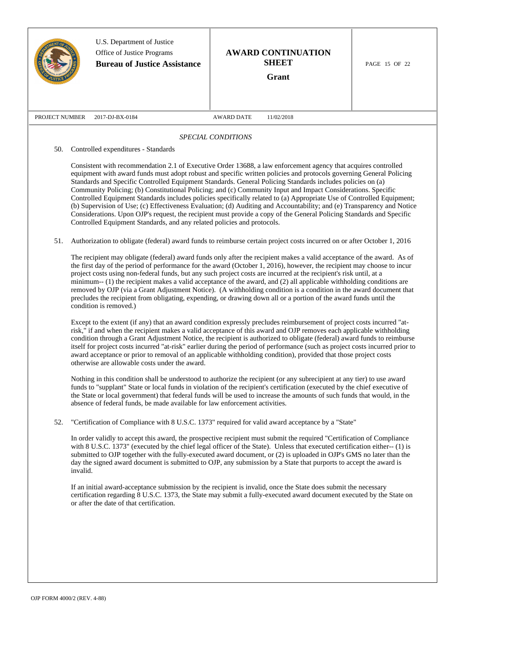|                | U.S. Department of Justice<br>Office of Justice Programs<br><b>Bureau of Justice Assistance</b>                                                                                                                                                                                                                                                                                                                                                                                                                                                                                                                                                                                                                                                                                                                                                                                                                           |                    | <b>AWARD CONTINUATION</b><br><b>SHEET</b><br>Grant | PAGE 15 OF 22 |
|----------------|---------------------------------------------------------------------------------------------------------------------------------------------------------------------------------------------------------------------------------------------------------------------------------------------------------------------------------------------------------------------------------------------------------------------------------------------------------------------------------------------------------------------------------------------------------------------------------------------------------------------------------------------------------------------------------------------------------------------------------------------------------------------------------------------------------------------------------------------------------------------------------------------------------------------------|--------------------|----------------------------------------------------|---------------|
| PROJECT NUMBER | 2017-DJ-BX-0184                                                                                                                                                                                                                                                                                                                                                                                                                                                                                                                                                                                                                                                                                                                                                                                                                                                                                                           | <b>AWARD DATE</b>  | 11/02/2018                                         |               |
|                |                                                                                                                                                                                                                                                                                                                                                                                                                                                                                                                                                                                                                                                                                                                                                                                                                                                                                                                           | SPECIAL CONDITIONS |                                                    |               |
| 50.            | Controlled expenditures - Standards                                                                                                                                                                                                                                                                                                                                                                                                                                                                                                                                                                                                                                                                                                                                                                                                                                                                                       |                    |                                                    |               |
|                | Consistent with recommendation 2.1 of Executive Order 13688, a law enforcement agency that acquires controlled<br>equipment with award funds must adopt robust and specific written policies and protocols governing General Policing<br>Standards and Specific Controlled Equipment Standards. General Policing Standards includes policies on (a)<br>Community Policing; (b) Constitutional Policing; and (c) Community Input and Impact Considerations. Specific<br>Controlled Equipment Standards includes policies specifically related to (a) Appropriate Use of Controlled Equipment;<br>(b) Supervision of Use; (c) Effectiveness Evaluation; (d) Auditing and Accountability; and (e) Transparency and Notice<br>Considerations. Upon OJP's request, the recipient must provide a copy of the General Policing Standards and Specific<br>Controlled Equipment Standards, and any related policies and protocols. |                    |                                                    |               |
| 51.            | Authorization to obligate (federal) award funds to reimburse certain project costs incurred on or after October 1, 2016                                                                                                                                                                                                                                                                                                                                                                                                                                                                                                                                                                                                                                                                                                                                                                                                   |                    |                                                    |               |
|                | The recipient may obligate (federal) award funds only after the recipient makes a valid acceptance of the award. As of<br>the first day of the period of performance for the award (October 1, 2016), however, the recipient may choose to incur<br>project costs using non-federal funds, but any such project costs are incurred at the recipient's risk until, at a<br>minimum- $(1)$ the recipient makes a valid acceptance of the award, and $(2)$ all applicable withholding conditions are<br>removed by OJP (via a Grant Adjustment Notice). (A withholding condition is a condition in the award document that<br>precludes the recipient from obligating, expending, or drawing down all or a portion of the award funds until the<br>condition is removed.)                                                                                                                                                    |                    |                                                    |               |
|                | Except to the extent (if any) that an award condition expressly precludes reimbursement of project costs incurred "at-<br>risk," if and when the recipient makes a valid acceptance of this award and OJP removes each applicable withholding<br>condition through a Grant Adjustment Notice, the recipient is authorized to obligate (federal) award funds to reimburse<br>itself for project costs incurred "at-risk" earlier during the period of performance (such as project costs incurred prior to<br>award acceptance or prior to removal of an applicable withholding condition), provided that those project costs<br>otherwise are allowable costs under the award.                                                                                                                                                                                                                                            |                    |                                                    |               |
|                | Nothing in this condition shall be understood to authorize the recipient (or any subrecipient at any tier) to use award<br>funds to "supplant" State or local funds in violation of the recipient's certification (executed by the chief executive of<br>the State or local government) that federal funds will be used to increase the amounts of such funds that would, in the<br>absence of federal funds, be made available for law enforcement activities.                                                                                                                                                                                                                                                                                                                                                                                                                                                           |                    |                                                    |               |
| 52.            | "Certification of Compliance with 8 U.S.C. 1373" required for valid award acceptance by a "State"                                                                                                                                                                                                                                                                                                                                                                                                                                                                                                                                                                                                                                                                                                                                                                                                                         |                    |                                                    |               |
|                | In order validly to accept this award, the prospective recipient must submit the required "Certification of Compliance<br>with 8 U.S.C. 1373" (executed by the chief legal officer of the State). Unless that executed certification either-- (1) is<br>submitted to OJP together with the fully-executed award document, or (2) is uploaded in OJP's GMS no later than the<br>day the signed award document is submitted to OJP, any submission by a State that purports to accept the award is<br>invalid.                                                                                                                                                                                                                                                                                                                                                                                                              |                    |                                                    |               |
|                | If an initial award-acceptance submission by the recipient is invalid, once the State does submit the necessary<br>certification regarding 8 U.S.C. 1373, the State may submit a fully-executed award document executed by the State on<br>or after the date of that certification.                                                                                                                                                                                                                                                                                                                                                                                                                                                                                                                                                                                                                                       |                    |                                                    |               |
|                |                                                                                                                                                                                                                                                                                                                                                                                                                                                                                                                                                                                                                                                                                                                                                                                                                                                                                                                           |                    |                                                    |               |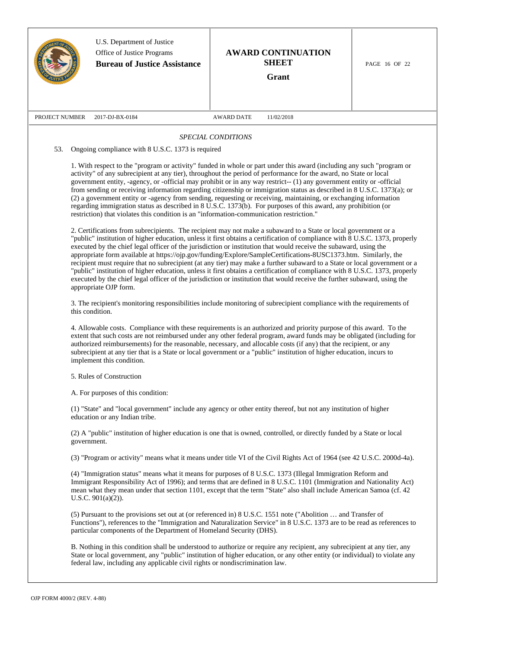|                | U.S. Department of Justice<br>Office of Justice Programs<br><b>Bureau of Justice Assistance</b>                                                                                                                                                                                                                                                                                                                                                                                                                                                                                                                                                                                                                                                                                                                                                                                                                                                                                                                                                                                                                                                                                                                                                                                                                                                                                                                                                                                                                                                                                                                                                                                                                                                                                                                                                                                                                                                                                                                                                                                                                                                                                                                                                                                                                                                                                                                      |                    | <b>AWARD CONTINUATION</b><br><b>SHEET</b><br>Grant | PAGE 16 OF 22 |
|----------------|----------------------------------------------------------------------------------------------------------------------------------------------------------------------------------------------------------------------------------------------------------------------------------------------------------------------------------------------------------------------------------------------------------------------------------------------------------------------------------------------------------------------------------------------------------------------------------------------------------------------------------------------------------------------------------------------------------------------------------------------------------------------------------------------------------------------------------------------------------------------------------------------------------------------------------------------------------------------------------------------------------------------------------------------------------------------------------------------------------------------------------------------------------------------------------------------------------------------------------------------------------------------------------------------------------------------------------------------------------------------------------------------------------------------------------------------------------------------------------------------------------------------------------------------------------------------------------------------------------------------------------------------------------------------------------------------------------------------------------------------------------------------------------------------------------------------------------------------------------------------------------------------------------------------------------------------------------------------------------------------------------------------------------------------------------------------------------------------------------------------------------------------------------------------------------------------------------------------------------------------------------------------------------------------------------------------------------------------------------------------------------------------------------------------|--------------------|----------------------------------------------------|---------------|
| PROJECT NUMBER | 2017-DJ-BX-0184                                                                                                                                                                                                                                                                                                                                                                                                                                                                                                                                                                                                                                                                                                                                                                                                                                                                                                                                                                                                                                                                                                                                                                                                                                                                                                                                                                                                                                                                                                                                                                                                                                                                                                                                                                                                                                                                                                                                                                                                                                                                                                                                                                                                                                                                                                                                                                                                      | <b>AWARD DATE</b>  | 11/02/2018                                         |               |
|                |                                                                                                                                                                                                                                                                                                                                                                                                                                                                                                                                                                                                                                                                                                                                                                                                                                                                                                                                                                                                                                                                                                                                                                                                                                                                                                                                                                                                                                                                                                                                                                                                                                                                                                                                                                                                                                                                                                                                                                                                                                                                                                                                                                                                                                                                                                                                                                                                                      | SPECIAL CONDITIONS |                                                    |               |
| 53.            | Ongoing compliance with 8 U.S.C. 1373 is required                                                                                                                                                                                                                                                                                                                                                                                                                                                                                                                                                                                                                                                                                                                                                                                                                                                                                                                                                                                                                                                                                                                                                                                                                                                                                                                                                                                                                                                                                                                                                                                                                                                                                                                                                                                                                                                                                                                                                                                                                                                                                                                                                                                                                                                                                                                                                                    |                    |                                                    |               |
|                | 1. With respect to the "program or activity" funded in whole or part under this award (including any such "program or<br>activity" of any subrecipient at any tier), throughout the period of performance for the award, no State or local<br>government entity, -agency, or -official may prohibit or in any way restrict-- (1) any government entity or -official<br>from sending or receiving information regarding citizenship or immigration status as described in 8 U.S.C. 1373(a); or<br>(2) a government entity or -agency from sending, requesting or receiving, maintaining, or exchanging information<br>regarding immigration status as described in 8 U.S.C. 1373(b). For purposes of this award, any prohibition (or<br>restriction) that violates this condition is an "information-communication restriction."<br>2. Certifications from subrecipients. The recipient may not make a subaward to a State or local government or a<br>"public" institution of higher education, unless it first obtains a certification of compliance with 8 U.S.C. 1373, properly<br>executed by the chief legal officer of the jurisdiction or institution that would receive the subaward, using the<br>appropriate form available at https://ojp.gov/funding/Explore/SampleCertifications-8USC1373.htm. Similarly, the<br>recipient must require that no subrecipient (at any tier) may make a further subaward to a State or local government or a<br>"public" institution of higher education, unless it first obtains a certification of compliance with 8 U.S.C. 1373, properly<br>executed by the chief legal officer of the jurisdiction or institution that would receive the further subaward, using the<br>appropriate OJP form.<br>3. The recipient's monitoring responsibilities include monitoring of subrecipient compliance with the requirements of<br>this condition.<br>4. Allowable costs. Compliance with these requirements is an authorized and priority purpose of this award. To the<br>extent that such costs are not reimbursed under any other federal program, award funds may be obligated (including for<br>authorized reimbursements) for the reasonable, necessary, and allocable costs (if any) that the recipient, or any<br>subrecipient at any tier that is a State or local government or a "public" institution of higher education, incurs to<br>implement this condition. |                    |                                                    |               |
|                | 5. Rules of Construction                                                                                                                                                                                                                                                                                                                                                                                                                                                                                                                                                                                                                                                                                                                                                                                                                                                                                                                                                                                                                                                                                                                                                                                                                                                                                                                                                                                                                                                                                                                                                                                                                                                                                                                                                                                                                                                                                                                                                                                                                                                                                                                                                                                                                                                                                                                                                                                             |                    |                                                    |               |
|                | A. For purposes of this condition:                                                                                                                                                                                                                                                                                                                                                                                                                                                                                                                                                                                                                                                                                                                                                                                                                                                                                                                                                                                                                                                                                                                                                                                                                                                                                                                                                                                                                                                                                                                                                                                                                                                                                                                                                                                                                                                                                                                                                                                                                                                                                                                                                                                                                                                                                                                                                                                   |                    |                                                    |               |
|                | (1) "State" and "local government" include any agency or other entity thereof, but not any institution of higher<br>education or any Indian tribe.                                                                                                                                                                                                                                                                                                                                                                                                                                                                                                                                                                                                                                                                                                                                                                                                                                                                                                                                                                                                                                                                                                                                                                                                                                                                                                                                                                                                                                                                                                                                                                                                                                                                                                                                                                                                                                                                                                                                                                                                                                                                                                                                                                                                                                                                   |                    |                                                    |               |
|                | (2) A "public" institution of higher education is one that is owned, controlled, or directly funded by a State or local<br>government.                                                                                                                                                                                                                                                                                                                                                                                                                                                                                                                                                                                                                                                                                                                                                                                                                                                                                                                                                                                                                                                                                                                                                                                                                                                                                                                                                                                                                                                                                                                                                                                                                                                                                                                                                                                                                                                                                                                                                                                                                                                                                                                                                                                                                                                                               |                    |                                                    |               |
|                | (3) "Program or activity" means what it means under title VI of the Civil Rights Act of 1964 (see 42 U.S.C. 2000d-4a).                                                                                                                                                                                                                                                                                                                                                                                                                                                                                                                                                                                                                                                                                                                                                                                                                                                                                                                                                                                                                                                                                                                                                                                                                                                                                                                                                                                                                                                                                                                                                                                                                                                                                                                                                                                                                                                                                                                                                                                                                                                                                                                                                                                                                                                                                               |                    |                                                    |               |
|                | (4) "Immigration status" means what it means for purposes of 8 U.S.C. 1373 (Illegal Immigration Reform and<br>Immigrant Responsibility Act of 1996); and terms that are defined in 8 U.S.C. 1101 (Immigration and Nationality Act)<br>mean what they mean under that section 1101, except that the term "State" also shall include American Samoa (cf. 42)<br>U.S.C. $901(a)(2)$ ).                                                                                                                                                                                                                                                                                                                                                                                                                                                                                                                                                                                                                                                                                                                                                                                                                                                                                                                                                                                                                                                                                                                                                                                                                                                                                                                                                                                                                                                                                                                                                                                                                                                                                                                                                                                                                                                                                                                                                                                                                                  |                    |                                                    |               |
|                | (5) Pursuant to the provisions set out at (or referenced in) 8 U.S.C. 1551 note ("Abolition  and Transfer of<br>Functions"), references to the "Immigration and Naturalization Service" in 8 U.S.C. 1373 are to be read as references to<br>particular components of the Department of Homeland Security (DHS).                                                                                                                                                                                                                                                                                                                                                                                                                                                                                                                                                                                                                                                                                                                                                                                                                                                                                                                                                                                                                                                                                                                                                                                                                                                                                                                                                                                                                                                                                                                                                                                                                                                                                                                                                                                                                                                                                                                                                                                                                                                                                                      |                    |                                                    |               |
|                | B. Nothing in this condition shall be understood to authorize or require any recipient, any subrecipient at any tier, any<br>State or local government, any "public" institution of higher education, or any other entity (or individual) to violate any<br>federal law, including any applicable civil rights or nondiscrimination law.                                                                                                                                                                                                                                                                                                                                                                                                                                                                                                                                                                                                                                                                                                                                                                                                                                                                                                                                                                                                                                                                                                                                                                                                                                                                                                                                                                                                                                                                                                                                                                                                                                                                                                                                                                                                                                                                                                                                                                                                                                                                             |                    |                                                    |               |
|                |                                                                                                                                                                                                                                                                                                                                                                                                                                                                                                                                                                                                                                                                                                                                                                                                                                                                                                                                                                                                                                                                                                                                                                                                                                                                                                                                                                                                                                                                                                                                                                                                                                                                                                                                                                                                                                                                                                                                                                                                                                                                                                                                                                                                                                                                                                                                                                                                                      |                    |                                                    |               |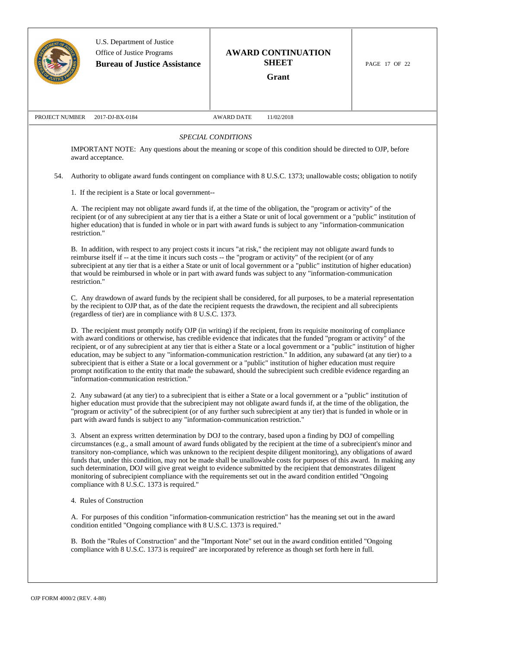|                | U.S. Department of Justice<br>Office of Justice Programs<br><b>Bureau of Justice Assistance</b> | <b>AWARD CONTINUATION</b><br><b>SHEET</b><br>Grant                                                                                                                                                                                                                                                                                                                                                                                                                                                                                                                                                                                                                                                                                                         | PAGE 17 OF 22 |
|----------------|-------------------------------------------------------------------------------------------------|------------------------------------------------------------------------------------------------------------------------------------------------------------------------------------------------------------------------------------------------------------------------------------------------------------------------------------------------------------------------------------------------------------------------------------------------------------------------------------------------------------------------------------------------------------------------------------------------------------------------------------------------------------------------------------------------------------------------------------------------------------|---------------|
| PROJECT NUMBER | 2017-DJ-BX-0184                                                                                 | <b>AWARD DATE</b><br>11/02/2018                                                                                                                                                                                                                                                                                                                                                                                                                                                                                                                                                                                                                                                                                                                            |               |
|                |                                                                                                 | <b>SPECIAL CONDITIONS</b>                                                                                                                                                                                                                                                                                                                                                                                                                                                                                                                                                                                                                                                                                                                                  |               |
|                | award acceptance.                                                                               | IMPORTANT NOTE: Any questions about the meaning or scope of this condition should be directed to OJP, before                                                                                                                                                                                                                                                                                                                                                                                                                                                                                                                                                                                                                                               |               |
| 54.            |                                                                                                 | Authority to obligate award funds contingent on compliance with 8 U.S.C. 1373; unallowable costs; obligation to notify                                                                                                                                                                                                                                                                                                                                                                                                                                                                                                                                                                                                                                     |               |
|                | 1. If the recipient is a State or local government--                                            |                                                                                                                                                                                                                                                                                                                                                                                                                                                                                                                                                                                                                                                                                                                                                            |               |
|                | restriction."                                                                                   | A. The recipient may not obligate award funds if, at the time of the obligation, the "program or activity" of the<br>recipient (or of any subrecipient at any tier that is a either a State or unit of local government or a "public" institution of<br>higher education) that is funded in whole or in part with award funds is subject to any "information-communication                                                                                                                                                                                                                                                                                                                                                                                 |               |
|                | restriction."                                                                                   | B. In addition, with respect to any project costs it incurs "at risk," the recipient may not obligate award funds to<br>reimburse itself if -- at the time it incurs such costs -- the "program or activity" of the recipient (or of any<br>subrecipient at any tier that is a either a State or unit of local government or a "public" institution of higher education)<br>that would be reimbursed in whole or in part with award funds was subject to any "information-communication                                                                                                                                                                                                                                                                    |               |
|                | (regardless of tier) are in compliance with 8 U.S.C. 1373.                                      | C. Any drawdown of award funds by the recipient shall be considered, for all purposes, to be a material representation<br>by the recipient to OJP that, as of the date the recipient requests the drawdown, the recipient and all subrecipients                                                                                                                                                                                                                                                                                                                                                                                                                                                                                                            |               |
|                | "information-communication restriction."                                                        | D. The recipient must promptly notify OJP (in writing) if the recipient, from its requisite monitoring of compliance<br>with award conditions or otherwise, has credible evidence that indicates that the funded "program or activity" of the<br>recipient, or of any subrecipient at any tier that is either a State or a local government or a "public" institution of higher<br>education, may be subject to any "information-communication restriction." In addition, any subaward (at any tier) to a<br>subrecipient that is either a State or a local government or a "public" institution of higher education must require<br>prompt notification to the entity that made the subaward, should the subrecipient such credible evidence regarding an |               |
|                | part with award funds is subject to any "information-communication restriction."                | 2. Any subaward (at any tier) to a subrecipient that is either a State or a local government or a "public" institution of<br>higher education must provide that the subrecipient may not obligate award funds if, at the time of the obligation, the<br>"program or activity" of the subrecipient (or of any further such subrecipient at any tier) that is funded in whole or in                                                                                                                                                                                                                                                                                                                                                                          |               |
|                | compliance with 8 U.S.C. 1373 is required."                                                     | 3. Absent an express written determination by DOJ to the contrary, based upon a finding by DOJ of compelling<br>circumstances (e.g., a small amount of award funds obligated by the recipient at the time of a subrecipient's minor and<br>transitory non-compliance, which was unknown to the recipient despite diligent monitoring), any obligations of award<br>funds that, under this condition, may not be made shall be unallowable costs for purposes of this award. In making any<br>such determination, DOJ will give great weight to evidence submitted by the recipient that demonstrates diligent<br>monitoring of subrecipient compliance with the requirements set out in the award condition entitled "Ongoing                              |               |
|                | 4. Rules of Construction                                                                        |                                                                                                                                                                                                                                                                                                                                                                                                                                                                                                                                                                                                                                                                                                                                                            |               |
|                | condition entitled "Ongoing compliance with 8 U.S.C. 1373 is required."                         | A. For purposes of this condition "information-communication restriction" has the meaning set out in the award                                                                                                                                                                                                                                                                                                                                                                                                                                                                                                                                                                                                                                             |               |
|                |                                                                                                 | B. Both the "Rules of Construction" and the "Important Note" set out in the award condition entitled "Ongoing<br>compliance with 8 U.S.C. 1373 is required" are incorporated by reference as though set forth here in full.                                                                                                                                                                                                                                                                                                                                                                                                                                                                                                                                |               |
|                |                                                                                                 |                                                                                                                                                                                                                                                                                                                                                                                                                                                                                                                                                                                                                                                                                                                                                            |               |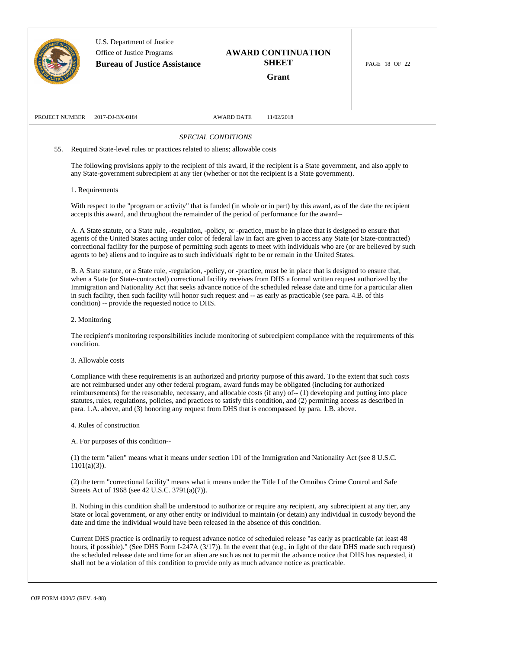|                |                                                                                                                                                                                                                                                                                                                                                                                                                                                                                                                                                                                                 | U.S. Department of Justice<br>Office of Justice Programs<br><b>Bureau of Justice Assistance</b>                                                                                                                                                                                                                                                                                                                                                                                                |                    | <b>AWARD CONTINUATION</b><br><b>SHEET</b><br>Grant | PAGE 18 OF 22 |  |  |  |
|----------------|-------------------------------------------------------------------------------------------------------------------------------------------------------------------------------------------------------------------------------------------------------------------------------------------------------------------------------------------------------------------------------------------------------------------------------------------------------------------------------------------------------------------------------------------------------------------------------------------------|------------------------------------------------------------------------------------------------------------------------------------------------------------------------------------------------------------------------------------------------------------------------------------------------------------------------------------------------------------------------------------------------------------------------------------------------------------------------------------------------|--------------------|----------------------------------------------------|---------------|--|--|--|
|                |                                                                                                                                                                                                                                                                                                                                                                                                                                                                                                                                                                                                 |                                                                                                                                                                                                                                                                                                                                                                                                                                                                                                |                    |                                                    |               |  |  |  |
| PROJECT NUMBER |                                                                                                                                                                                                                                                                                                                                                                                                                                                                                                                                                                                                 | 2017-DJ-BX-0184                                                                                                                                                                                                                                                                                                                                                                                                                                                                                | AWARD DATE         | 11/02/2018                                         |               |  |  |  |
|                |                                                                                                                                                                                                                                                                                                                                                                                                                                                                                                                                                                                                 |                                                                                                                                                                                                                                                                                                                                                                                                                                                                                                | SPECIAL CONDITIONS |                                                    |               |  |  |  |
| 55.            |                                                                                                                                                                                                                                                                                                                                                                                                                                                                                                                                                                                                 | Required State-level rules or practices related to aliens; allowable costs                                                                                                                                                                                                                                                                                                                                                                                                                     |                    |                                                    |               |  |  |  |
|                | The following provisions apply to the recipient of this award, if the recipient is a State government, and also apply to<br>any State-government subrecipient at any tier (whether or not the recipient is a State government).                                                                                                                                                                                                                                                                                                                                                                 |                                                                                                                                                                                                                                                                                                                                                                                                                                                                                                |                    |                                                    |               |  |  |  |
|                | 1. Requirements                                                                                                                                                                                                                                                                                                                                                                                                                                                                                                                                                                                 |                                                                                                                                                                                                                                                                                                                                                                                                                                                                                                |                    |                                                    |               |  |  |  |
|                | With respect to the "program or activity" that is funded (in whole or in part) by this award, as of the date the recipient<br>accepts this award, and throughout the remainder of the period of performance for the award--                                                                                                                                                                                                                                                                                                                                                                     |                                                                                                                                                                                                                                                                                                                                                                                                                                                                                                |                    |                                                    |               |  |  |  |
|                |                                                                                                                                                                                                                                                                                                                                                                                                                                                                                                                                                                                                 | A. A State statute, or a State rule, -regulation, -policy, or -practice, must be in place that is designed to ensure that<br>agents of the United States acting under color of federal law in fact are given to access any State (or State-contracted)<br>correctional facility for the purpose of permitting such agents to meet with individuals who are (or are believed by such<br>agents to be) aliens and to inquire as to such individuals' right to be or remain in the United States. |                    |                                                    |               |  |  |  |
|                | B. A State statute, or a State rule, -regulation, -policy, or -practice, must be in place that is designed to ensure that,<br>when a State (or State-contracted) correctional facility receives from DHS a formal written request authorized by the<br>Immigration and Nationality Act that seeks advance notice of the scheduled release date and time for a particular alien<br>in such facility, then such facility will honor such request and -- as early as practicable (see para. 4.B. of this<br>condition) -- provide the requested notice to DHS.                                     |                                                                                                                                                                                                                                                                                                                                                                                                                                                                                                |                    |                                                    |               |  |  |  |
|                | 2. Monitoring                                                                                                                                                                                                                                                                                                                                                                                                                                                                                                                                                                                   |                                                                                                                                                                                                                                                                                                                                                                                                                                                                                                |                    |                                                    |               |  |  |  |
|                | The recipient's monitoring responsibilities include monitoring of subrecipient compliance with the requirements of this<br>condition.                                                                                                                                                                                                                                                                                                                                                                                                                                                           |                                                                                                                                                                                                                                                                                                                                                                                                                                                                                                |                    |                                                    |               |  |  |  |
|                | 3. Allowable costs                                                                                                                                                                                                                                                                                                                                                                                                                                                                                                                                                                              |                                                                                                                                                                                                                                                                                                                                                                                                                                                                                                |                    |                                                    |               |  |  |  |
|                | Compliance with these requirements is an authorized and priority purpose of this award. To the extent that such costs<br>are not reimbursed under any other federal program, award funds may be obligated (including for authorized<br>reimbursements) for the reasonable, necessary, and allocable costs (if any) of-- (1) developing and putting into place<br>statutes, rules, regulations, policies, and practices to satisfy this condition, and (2) permitting access as described in<br>para. 1.A. above, and (3) honoring any request from DHS that is encompassed by para. 1.B. above. |                                                                                                                                                                                                                                                                                                                                                                                                                                                                                                |                    |                                                    |               |  |  |  |
|                |                                                                                                                                                                                                                                                                                                                                                                                                                                                                                                                                                                                                 | 4. Rules of construction                                                                                                                                                                                                                                                                                                                                                                                                                                                                       |                    |                                                    |               |  |  |  |
|                |                                                                                                                                                                                                                                                                                                                                                                                                                                                                                                                                                                                                 | A. For purposes of this condition--                                                                                                                                                                                                                                                                                                                                                                                                                                                            |                    |                                                    |               |  |  |  |
|                | $1101(a)(3)$ ).                                                                                                                                                                                                                                                                                                                                                                                                                                                                                                                                                                                 | (1) the term "alien" means what it means under section 101 of the Immigration and Nationality Act (see 8 U.S.C.                                                                                                                                                                                                                                                                                                                                                                                |                    |                                                    |               |  |  |  |
|                |                                                                                                                                                                                                                                                                                                                                                                                                                                                                                                                                                                                                 | (2) the term "correctional facility" means what it means under the Title I of the Omnibus Crime Control and Safe<br>Streets Act of 1968 (see 42 U.S.C. 3791(a)(7)).                                                                                                                                                                                                                                                                                                                            |                    |                                                    |               |  |  |  |
|                |                                                                                                                                                                                                                                                                                                                                                                                                                                                                                                                                                                                                 | B. Nothing in this condition shall be understood to authorize or require any recipient, any subrecipient at any tier, any                                                                                                                                                                                                                                                                                                                                                                      |                    |                                                    |               |  |  |  |

Current DHS practice is ordinarily to request advance notice of scheduled release "as early as practicable (at least 48 hours, if possible)." (See DHS Form I-247A (3/17)). In the event that (e.g., in light of the date DHS made such request) the scheduled release date and time for an alien are such as not to permit the advance notice that DHS has requested, it shall not be a violation of this condition to provide only as much advance notice as practicable.

State or local government, or any other entity or individual to maintain (or detain) any individual in custody beyond the

date and time the individual would have been released in the absence of this condition.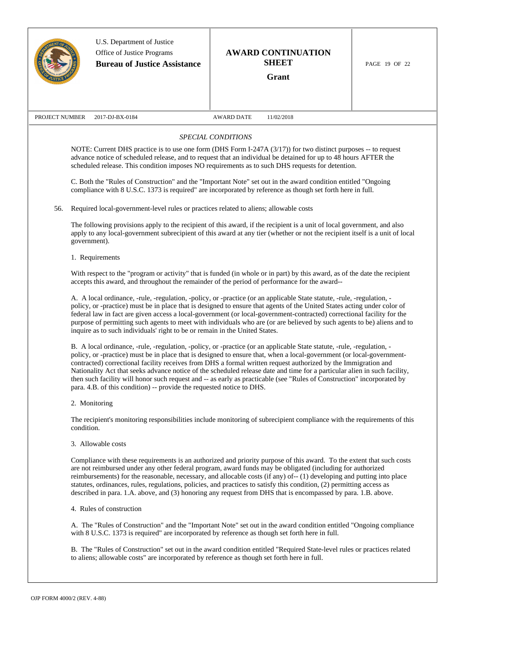|                |            | U.S. Department of Justice<br>Office of Justice Programs<br><b>Bureau of Justice Assistance</b> | <b>AWARD CONTINUATION</b><br><b>SHEET</b><br>Grant                                                                                                                                                                                                                                                                                                                                                                                                                                                                                                                                                                       | PAGE 19 OF 22 |
|----------------|------------|-------------------------------------------------------------------------------------------------|--------------------------------------------------------------------------------------------------------------------------------------------------------------------------------------------------------------------------------------------------------------------------------------------------------------------------------------------------------------------------------------------------------------------------------------------------------------------------------------------------------------------------------------------------------------------------------------------------------------------------|---------------|
| PROJECT NUMBER |            | 2017-DJ-BX-0184                                                                                 | <b>AWARD DATE</b><br>11/02/2018                                                                                                                                                                                                                                                                                                                                                                                                                                                                                                                                                                                          |               |
|                |            |                                                                                                 | SPECIAL CONDITIONS<br>NOTE: Current DHS practice is to use one form (DHS Form I-247A (3/17)) for two distinct purposes -- to request<br>advance notice of scheduled release, and to request that an individual be detained for up to 48 hours AFTER the<br>scheduled release. This condition imposes NO requirements as to such DHS requests for detention.                                                                                                                                                                                                                                                              |               |
| 56.            |            | Required local-government-level rules or practices related to aliens; allowable costs           | C. Both the "Rules of Construction" and the "Important Note" set out in the award condition entitled "Ongoing<br>compliance with 8 U.S.C. 1373 is required" are incorporated by reference as though set forth here in full.                                                                                                                                                                                                                                                                                                                                                                                              |               |
|                |            | government).                                                                                    | The following provisions apply to the recipient of this award, if the recipient is a unit of local government, and also<br>apply to any local-government subrecipient of this award at any tier (whether or not the recipient itself is a unit of local                                                                                                                                                                                                                                                                                                                                                                  |               |
|                |            | 1. Requirements                                                                                 | With respect to the "program or activity" that is funded (in whole or in part) by this award, as of the date the recipient<br>accepts this award, and throughout the remainder of the period of performance for the award--                                                                                                                                                                                                                                                                                                                                                                                              |               |
|                |            | inquire as to such individuals' right to be or remain in the United States.                     | A. A local ordinance, -rule, -regulation, -policy, or -practice (or an applicable State statute, -rule, -regulation, -<br>policy, or -practice) must be in place that is designed to ensure that agents of the United States acting under color of<br>federal law in fact are given access a local-government (or local-government-contracted) correctional facility for the<br>purpose of permitting such agents to meet with individuals who are (or are believed by such agents to be) aliens and to                                                                                                                  |               |
|                |            | para. 4.B. of this condition) -- provide the requested notice to DHS.                           | B. A local ordinance, -rule, -regulation, -policy, or -practice (or an applicable State statute, -rule, -regulation, -<br>policy, or -practice) must be in place that is designed to ensure that, when a local-government (or local-government-<br>contracted) correctional facility receives from DHS a formal written request authorized by the Immigration and<br>Nationality Act that seeks advance notice of the scheduled release date and time for a particular alien in such facility,<br>then such facility will honor such request and -- as early as practicable (see "Rules of Construction" incorporated by |               |
|                |            | 2. Monitoring                                                                                   |                                                                                                                                                                                                                                                                                                                                                                                                                                                                                                                                                                                                                          |               |
|                | condition. |                                                                                                 | The recipient's monitoring responsibilities include monitoring of subrecipient compliance with the requirements of this                                                                                                                                                                                                                                                                                                                                                                                                                                                                                                  |               |
|                |            | 3. Allowable costs                                                                              |                                                                                                                                                                                                                                                                                                                                                                                                                                                                                                                                                                                                                          |               |
|                |            |                                                                                                 | Compliance with these requirements is an authorized and priority purpose of this award. To the extent that such costs<br>are not reimbursed under any other federal program, award funds may be obligated (including for authorized<br>reimbursements) for the reasonable, necessary, and allocable costs (if any) of-- (1) developing and putting into place<br>statutes, ordinances, rules, regulations, policies, and practices to satisfy this condition, (2) permitting access as<br>described in para. 1.A. above, and (3) honoring any request from DHS that is encompassed by para. 1.B. above.                  |               |
|                |            | 4. Rules of construction                                                                        |                                                                                                                                                                                                                                                                                                                                                                                                                                                                                                                                                                                                                          |               |
|                |            |                                                                                                 | A. The "Rules of Construction" and the "Important Note" set out in the award condition entitled "Ongoing compliance<br>with 8 U.S.C. 1373 is required" are incorporated by reference as though set forth here in full.                                                                                                                                                                                                                                                                                                                                                                                                   |               |
|                |            | to aliens; allowable costs" are incorporated by reference as though set forth here in full.     | B. The "Rules of Construction" set out in the award condition entitled "Required State-level rules or practices related                                                                                                                                                                                                                                                                                                                                                                                                                                                                                                  |               |
|                |            |                                                                                                 |                                                                                                                                                                                                                                                                                                                                                                                                                                                                                                                                                                                                                          |               |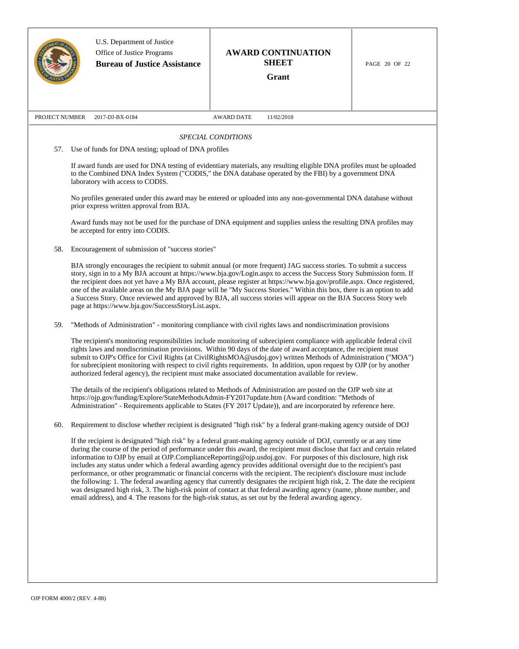|                | U.S. Department of Justice<br>Office of Justice Programs<br><b>Bureau of Justice Assistance</b> | <b>AWARD CONTINUATION</b><br><b>SHEET</b><br>Grant                                                                                                                                                                                                                                                                                                                                                                                                                                                                                                                                                                                                                                                                                                                                                                                                                                                                                                                                     | PAGE 20 OF 22 |
|----------------|-------------------------------------------------------------------------------------------------|----------------------------------------------------------------------------------------------------------------------------------------------------------------------------------------------------------------------------------------------------------------------------------------------------------------------------------------------------------------------------------------------------------------------------------------------------------------------------------------------------------------------------------------------------------------------------------------------------------------------------------------------------------------------------------------------------------------------------------------------------------------------------------------------------------------------------------------------------------------------------------------------------------------------------------------------------------------------------------------|---------------|
| PROJECT NUMBER | 2017-DJ-BX-0184                                                                                 | <b>AWARD DATE</b><br>11/02/2018                                                                                                                                                                                                                                                                                                                                                                                                                                                                                                                                                                                                                                                                                                                                                                                                                                                                                                                                                        |               |
|                |                                                                                                 | SPECIAL CONDITIONS                                                                                                                                                                                                                                                                                                                                                                                                                                                                                                                                                                                                                                                                                                                                                                                                                                                                                                                                                                     |               |
| 57.            | Use of funds for DNA testing; upload of DNA profiles                                            |                                                                                                                                                                                                                                                                                                                                                                                                                                                                                                                                                                                                                                                                                                                                                                                                                                                                                                                                                                                        |               |
|                | laboratory with access to CODIS.                                                                | If award funds are used for DNA testing of evidentiary materials, any resulting eligible DNA profiles must be uploaded<br>to the Combined DNA Index System ("CODIS," the DNA database operated by the FBI) by a government DNA                                                                                                                                                                                                                                                                                                                                                                                                                                                                                                                                                                                                                                                                                                                                                         |               |
|                | prior express written approval from BJA.                                                        | No profiles generated under this award may be entered or uploaded into any non-governmental DNA database without                                                                                                                                                                                                                                                                                                                                                                                                                                                                                                                                                                                                                                                                                                                                                                                                                                                                       |               |
|                | be accepted for entry into CODIS.                                                               | Award funds may not be used for the purchase of DNA equipment and supplies unless the resulting DNA profiles may                                                                                                                                                                                                                                                                                                                                                                                                                                                                                                                                                                                                                                                                                                                                                                                                                                                                       |               |
| 58.            | Encouragement of submission of "success stories"                                                |                                                                                                                                                                                                                                                                                                                                                                                                                                                                                                                                                                                                                                                                                                                                                                                                                                                                                                                                                                                        |               |
|                | page at https://www.bja.gov/SuccessStoryList.aspx.                                              | BJA strongly encourages the recipient to submit annual (or more frequent) JAG success stories. To submit a success<br>story, sign in to a My BJA account at https://www.bja.gov/Login.aspx to access the Success Story Submission form. If<br>the recipient does not yet have a My BJA account, please register at https://www.bja.gov/profile.aspx. Once registered,<br>one of the available areas on the My BJA page will be "My Success Stories." Within this box, there is an option to add<br>a Success Story. Once reviewed and approved by BJA, all success stories will appear on the BJA Success Story web                                                                                                                                                                                                                                                                                                                                                                    |               |
| 59.            |                                                                                                 | "Methods of Administration" - monitoring compliance with civil rights laws and nondiscrimination provisions                                                                                                                                                                                                                                                                                                                                                                                                                                                                                                                                                                                                                                                                                                                                                                                                                                                                            |               |
|                |                                                                                                 | The recipient's monitoring responsibilities include monitoring of subrecipient compliance with applicable federal civil<br>rights laws and nondiscrimination provisions. Within 90 days of the date of award acceptance, the recipient must<br>submit to OJP's Office for Civil Rights (at CivilRightsMOA@usdoj.gov) written Methods of Administration ("MOA")<br>for subrecipient monitoring with respect to civil rights requirements. In addition, upon request by OJP (or by another<br>authorized federal agency), the recipient must make associated documentation available for review.                                                                                                                                                                                                                                                                                                                                                                                         |               |
|                |                                                                                                 | The details of the recipient's obligations related to Methods of Administration are posted on the OJP web site at<br>https://ojp.gov/funding/Explore/StateMethodsAdmin-FY2017update.htm (Award condition: "Methods of<br>Administration" - Requirements applicable to States (FY 2017 Update)), and are incorporated by reference here.                                                                                                                                                                                                                                                                                                                                                                                                                                                                                                                                                                                                                                                |               |
| 60.            |                                                                                                 | Requirement to disclose whether recipient is designated "high risk" by a federal grant-making agency outside of DOJ                                                                                                                                                                                                                                                                                                                                                                                                                                                                                                                                                                                                                                                                                                                                                                                                                                                                    |               |
|                |                                                                                                 | If the recipient is designated "high risk" by a federal grant-making agency outside of DOJ, currently or at any time<br>during the course of the period of performance under this award, the recipient must disclose that fact and certain related<br>information to OJP by email at OJP.ComplianceReporting@ojp.usdoj.gov. For purposes of this disclosure, high risk<br>includes any status under which a federal awarding agency provides additional oversight due to the recipient's past<br>performance, or other programmatic or financial concerns with the recipient. The recipient's disclosure must include<br>the following: 1. The federal awarding agency that currently designates the recipient high risk, 2. The date the recipient<br>was designated high risk, 3. The high-risk point of contact at that federal awarding agency (name, phone number, and<br>email address), and 4. The reasons for the high-risk status, as set out by the federal awarding agency. |               |
|                |                                                                                                 |                                                                                                                                                                                                                                                                                                                                                                                                                                                                                                                                                                                                                                                                                                                                                                                                                                                                                                                                                                                        |               |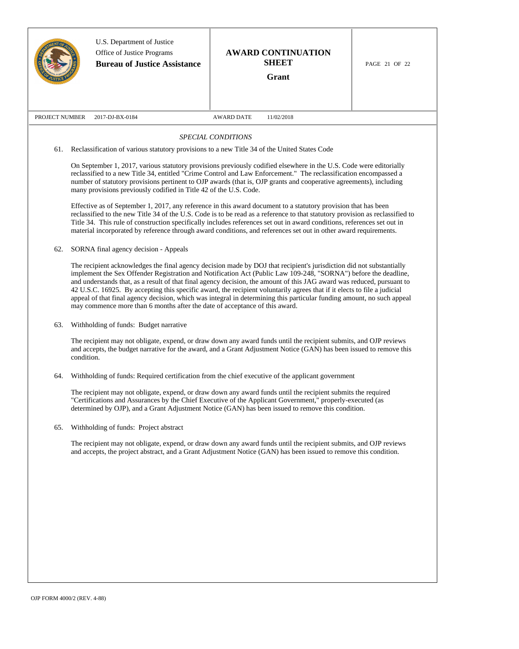|                |                                                                                                                                                                                                                                                                                                                                                                                                                                                                                                                                                                                                                                                                                                        | U.S. Department of Justice<br>Office of Justice Programs<br><b>Bureau of Justice Assistance</b> | <b>AWARD CONTINUATION</b><br><b>SHEET</b><br>Grant                                                                                                                                                                                                                                                                                                                                                                                                                                                                                                                                                                                                                                                                                                                                                                                                             | PAGE 21 OF 22 |  |  |
|----------------|--------------------------------------------------------------------------------------------------------------------------------------------------------------------------------------------------------------------------------------------------------------------------------------------------------------------------------------------------------------------------------------------------------------------------------------------------------------------------------------------------------------------------------------------------------------------------------------------------------------------------------------------------------------------------------------------------------|-------------------------------------------------------------------------------------------------|----------------------------------------------------------------------------------------------------------------------------------------------------------------------------------------------------------------------------------------------------------------------------------------------------------------------------------------------------------------------------------------------------------------------------------------------------------------------------------------------------------------------------------------------------------------------------------------------------------------------------------------------------------------------------------------------------------------------------------------------------------------------------------------------------------------------------------------------------------------|---------------|--|--|
| PROJECT NUMBER |                                                                                                                                                                                                                                                                                                                                                                                                                                                                                                                                                                                                                                                                                                        | 2017-DJ-BX-0184                                                                                 | <b>AWARD DATE</b><br>11/02/2018                                                                                                                                                                                                                                                                                                                                                                                                                                                                                                                                                                                                                                                                                                                                                                                                                                |               |  |  |
|                |                                                                                                                                                                                                                                                                                                                                                                                                                                                                                                                                                                                                                                                                                                        |                                                                                                 | SPECIAL CONDITIONS                                                                                                                                                                                                                                                                                                                                                                                                                                                                                                                                                                                                                                                                                                                                                                                                                                             |               |  |  |
| 61.            |                                                                                                                                                                                                                                                                                                                                                                                                                                                                                                                                                                                                                                                                                                        |                                                                                                 | Reclassification of various statutory provisions to a new Title 34 of the United States Code                                                                                                                                                                                                                                                                                                                                                                                                                                                                                                                                                                                                                                                                                                                                                                   |               |  |  |
|                |                                                                                                                                                                                                                                                                                                                                                                                                                                                                                                                                                                                                                                                                                                        | many provisions previously codified in Title 42 of the U.S. Code.                               | On September 1, 2017, various statutory provisions previously codified elsewhere in the U.S. Code were editorially<br>reclassified to a new Title 34, entitled "Crime Control and Law Enforcement." The reclassification encompassed a<br>number of statutory provisions pertinent to OJP awards (that is, OJP grants and cooperative agreements), including<br>Effective as of September 1, 2017, any reference in this award document to a statutory provision that has been<br>reclassified to the new Title 34 of the U.S. Code is to be read as a reference to that statutory provision as reclassified to<br>Title 34. This rule of construction specifically includes references set out in award conditions, references set out in<br>material incorporated by reference through award conditions, and references set out in other award requirements. |               |  |  |
| 62.            |                                                                                                                                                                                                                                                                                                                                                                                                                                                                                                                                                                                                                                                                                                        | SORNA final agency decision - Appeals                                                           |                                                                                                                                                                                                                                                                                                                                                                                                                                                                                                                                                                                                                                                                                                                                                                                                                                                                |               |  |  |
|                | The recipient acknowledges the final agency decision made by DOJ that recipient's jurisdiction did not substantially<br>implement the Sex Offender Registration and Notification Act (Public Law 109-248, "SORNA") before the deadline,<br>and understands that, as a result of that final agency decision, the amount of this JAG award was reduced, pursuant to<br>42 U.S.C. 16925. By accepting this specific award, the recipient voluntarily agrees that if it elects to file a judicial<br>appeal of that final agency decision, which was integral in determining this particular funding amount, no such appeal<br>may commence more than 6 months after the date of acceptance of this award. |                                                                                                 |                                                                                                                                                                                                                                                                                                                                                                                                                                                                                                                                                                                                                                                                                                                                                                                                                                                                |               |  |  |
| 63.            |                                                                                                                                                                                                                                                                                                                                                                                                                                                                                                                                                                                                                                                                                                        | Withholding of funds: Budget narrative                                                          |                                                                                                                                                                                                                                                                                                                                                                                                                                                                                                                                                                                                                                                                                                                                                                                                                                                                |               |  |  |
|                | condition.                                                                                                                                                                                                                                                                                                                                                                                                                                                                                                                                                                                                                                                                                             |                                                                                                 | The recipient may not obligate, expend, or draw down any award funds until the recipient submits, and OJP reviews<br>and accepts, the budget narrative for the award, and a Grant Adjustment Notice (GAN) has been issued to remove this                                                                                                                                                                                                                                                                                                                                                                                                                                                                                                                                                                                                                       |               |  |  |
| 64.            |                                                                                                                                                                                                                                                                                                                                                                                                                                                                                                                                                                                                                                                                                                        |                                                                                                 | Withholding of funds: Required certification from the chief executive of the applicant government                                                                                                                                                                                                                                                                                                                                                                                                                                                                                                                                                                                                                                                                                                                                                              |               |  |  |
|                |                                                                                                                                                                                                                                                                                                                                                                                                                                                                                                                                                                                                                                                                                                        |                                                                                                 | The recipient may not obligate, expend, or draw down any award funds until the recipient submits the required<br>"Certifications and Assurances by the Chief Executive of the Applicant Government," properly-executed (as<br>determined by OJP), and a Grant Adjustment Notice (GAN) has been issued to remove this condition.                                                                                                                                                                                                                                                                                                                                                                                                                                                                                                                                |               |  |  |
| 65.            |                                                                                                                                                                                                                                                                                                                                                                                                                                                                                                                                                                                                                                                                                                        | Withholding of funds: Project abstract                                                          |                                                                                                                                                                                                                                                                                                                                                                                                                                                                                                                                                                                                                                                                                                                                                                                                                                                                |               |  |  |
|                |                                                                                                                                                                                                                                                                                                                                                                                                                                                                                                                                                                                                                                                                                                        |                                                                                                 | The recipient may not obligate, expend, or draw down any award funds until the recipient submits, and OJP reviews<br>and accepts, the project abstract, and a Grant Adjustment Notice (GAN) has been issued to remove this condition.                                                                                                                                                                                                                                                                                                                                                                                                                                                                                                                                                                                                                          |               |  |  |
|                |                                                                                                                                                                                                                                                                                                                                                                                                                                                                                                                                                                                                                                                                                                        |                                                                                                 |                                                                                                                                                                                                                                                                                                                                                                                                                                                                                                                                                                                                                                                                                                                                                                                                                                                                |               |  |  |
|                |                                                                                                                                                                                                                                                                                                                                                                                                                                                                                                                                                                                                                                                                                                        |                                                                                                 |                                                                                                                                                                                                                                                                                                                                                                                                                                                                                                                                                                                                                                                                                                                                                                                                                                                                |               |  |  |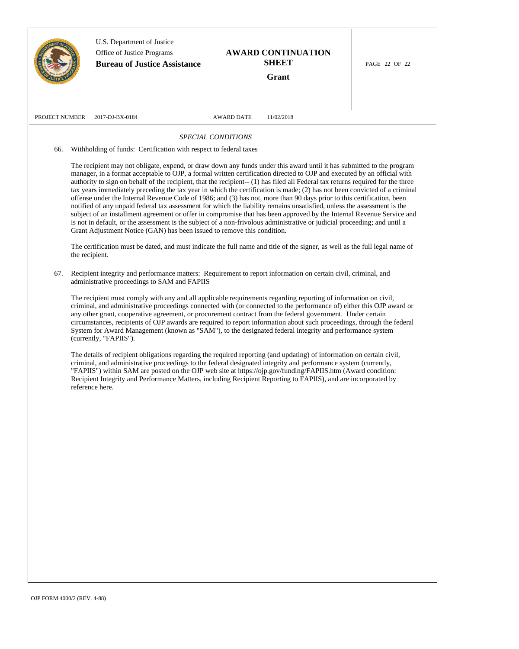|                | U.S. Department of Justice<br>Office of Justice Programs<br><b>Bureau of Justice Assistance</b>                                                                                                                                                                                                                                                                                                                                                                                                                                                                                                                                                                                                                                                                                                                                                                                                                                                                                                                                                                                                                                                                                                                                      | <b>AWARD CONTINUATION</b><br><b>SHEET</b><br><b>Grant</b>                                                                                                                                                                                                                                                                                                                                                                                                                                                                                                                                                                                                                                                      | PAGE 22 OF 22 |  |  |
|----------------|--------------------------------------------------------------------------------------------------------------------------------------------------------------------------------------------------------------------------------------------------------------------------------------------------------------------------------------------------------------------------------------------------------------------------------------------------------------------------------------------------------------------------------------------------------------------------------------------------------------------------------------------------------------------------------------------------------------------------------------------------------------------------------------------------------------------------------------------------------------------------------------------------------------------------------------------------------------------------------------------------------------------------------------------------------------------------------------------------------------------------------------------------------------------------------------------------------------------------------------|----------------------------------------------------------------------------------------------------------------------------------------------------------------------------------------------------------------------------------------------------------------------------------------------------------------------------------------------------------------------------------------------------------------------------------------------------------------------------------------------------------------------------------------------------------------------------------------------------------------------------------------------------------------------------------------------------------------|---------------|--|--|
| PROJECT NUMBER | 2017-DJ-BX-0184                                                                                                                                                                                                                                                                                                                                                                                                                                                                                                                                                                                                                                                                                                                                                                                                                                                                                                                                                                                                                                                                                                                                                                                                                      | <b>AWARD DATE</b><br>11/02/2018                                                                                                                                                                                                                                                                                                                                                                                                                                                                                                                                                                                                                                                                                |               |  |  |
|                |                                                                                                                                                                                                                                                                                                                                                                                                                                                                                                                                                                                                                                                                                                                                                                                                                                                                                                                                                                                                                                                                                                                                                                                                                                      | <b>SPECIAL CONDITIONS</b>                                                                                                                                                                                                                                                                                                                                                                                                                                                                                                                                                                                                                                                                                      |               |  |  |
| 66.            | Withholding of funds: Certification with respect to federal taxes                                                                                                                                                                                                                                                                                                                                                                                                                                                                                                                                                                                                                                                                                                                                                                                                                                                                                                                                                                                                                                                                                                                                                                    |                                                                                                                                                                                                                                                                                                                                                                                                                                                                                                                                                                                                                                                                                                                |               |  |  |
|                | The recipient may not obligate, expend, or draw down any funds under this award until it has submitted to the program<br>manager, in a format acceptable to OJP, a formal written certification directed to OJP and executed by an official with<br>authority to sign on behalf of the recipient, that the recipient-- (1) has filed all Federal tax returns required for the three<br>tax years immediately preceding the tax year in which the certification is made; (2) has not been convicted of a criminal<br>offense under the Internal Revenue Code of 1986; and (3) has not, more than 90 days prior to this certification, been<br>notified of any unpaid federal tax assessment for which the liability remains unsatisfied, unless the assessment is the<br>subject of an installment agreement or offer in compromise that has been approved by the Internal Revenue Service and<br>is not in default, or the assessment is the subject of a non-frivolous administrative or judicial proceeding; and until a<br>Grant Adjustment Notice (GAN) has been issued to remove this condition.<br>The certification must be dated, and must indicate the full name and title of the signer, as well as the full legal name of |                                                                                                                                                                                                                                                                                                                                                                                                                                                                                                                                                                                                                                                                                                                |               |  |  |
| 67.            | administrative proceedings to SAM and FAPIIS                                                                                                                                                                                                                                                                                                                                                                                                                                                                                                                                                                                                                                                                                                                                                                                                                                                                                                                                                                                                                                                                                                                                                                                         | Recipient integrity and performance matters: Requirement to report information on certain civil, criminal, and<br>The recipient must comply with any and all applicable requirements regarding reporting of information on civil,<br>criminal, and administrative proceedings connected with (or connected to the performance of) either this OJP award or<br>any other grant, cooperative agreement, or procurement contract from the federal government. Under certain<br>circumstances, recipients of OJP awards are required to report information about such proceedings, through the federal<br>System for Award Management (known as "SAM"), to the designated federal integrity and performance system |               |  |  |
|                | (currently, "FAPIIS").<br>reference here.                                                                                                                                                                                                                                                                                                                                                                                                                                                                                                                                                                                                                                                                                                                                                                                                                                                                                                                                                                                                                                                                                                                                                                                            | The details of recipient obligations regarding the required reporting (and updating) of information on certain civil,<br>criminal, and administrative proceedings to the federal designated integrity and performance system (currently,<br>"FAPIIS") within SAM are posted on the OJP web site at https://ojp.gov/funding/FAPIIS.htm (Award condition:<br>Recipient Integrity and Performance Matters, including Recipient Reporting to FAPIIS), and are incorporated by                                                                                                                                                                                                                                      |               |  |  |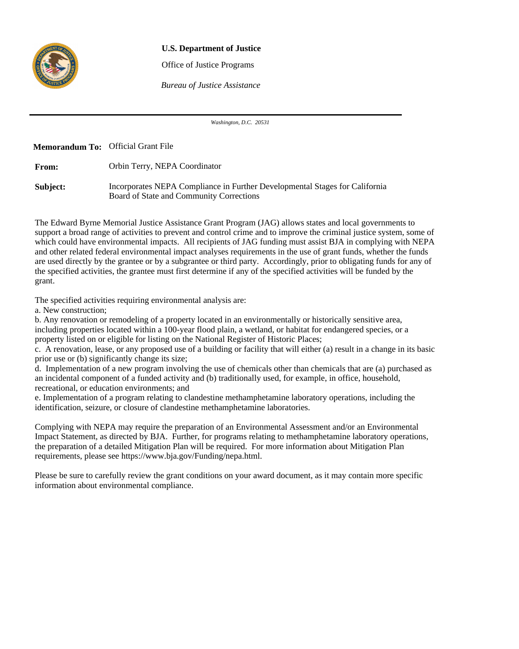

# **U.S. Department of Justice**

Office of Justice Programs

*Bureau of Justice Assistance*

*Washington, D.C. 20531*

**Memorandum To:** Official Grant File**From: Subject:** Orbin Terry, NEPA Coordinator Incorporates NEPA Compliance in Further Developmental Stages for California Board of State and Community Corrections

The Edward Byrne Memorial Justice Assistance Grant Program (JAG) allows states and local governments to support a broad range of activities to prevent and control crime and to improve the criminal justice system, some of which could have environmental impacts. All recipients of JAG funding must assist BJA in complying with NEPA and other related federal environmental impact analyses requirements in the use of grant funds, whether the funds are used directly by the grantee or by a subgrantee or third party. Accordingly, prior to obligating funds for any of the specified activities, the grantee must first determine if any of the specified activities will be funded by the grant.

The specified activities requiring environmental analysis are:

a. New construction;

b. Any renovation or remodeling of a property located in an environmentally or historically sensitive area, including properties located within a 100-year flood plain, a wetland, or habitat for endangered species, or a property listed on or eligible for listing on the National Register of Historic Places;

c. A renovation, lease, or any proposed use of a building or facility that will either (a) result in a change in its basic prior use or (b) significantly change its size;

d. Implementation of a new program involving the use of chemicals other than chemicals that are (a) purchased as an incidental component of a funded activity and (b) traditionally used, for example, in office, household, recreational, or education environments; and

e. Implementation of a program relating to clandestine methamphetamine laboratory operations, including the identification, seizure, or closure of clandestine methamphetamine laboratories.

Complying with NEPA may require the preparation of an Environmental Assessment and/or an Environmental Impact Statement, as directed by BJA. Further, for programs relating to methamphetamine laboratory operations, the preparation of a detailed Mitigation Plan will be required. For more information about Mitigation Plan requirements, please see https://www.bja.gov/Funding/nepa.html.

Please be sure to carefully review the grant conditions on your award document, as it may contain more specific information about environmental compliance.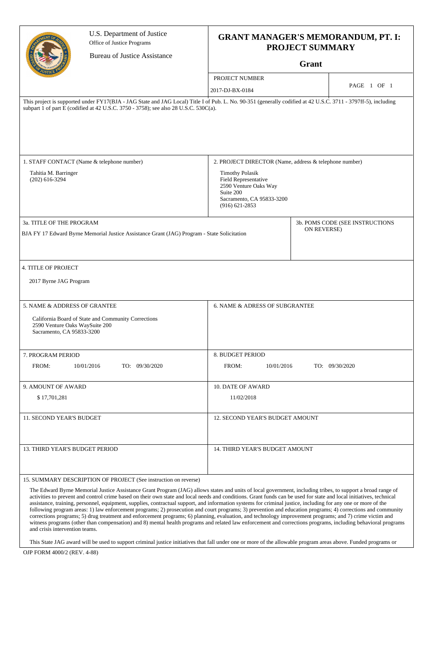|                                                              | U.S. Department of Justice<br>Office of Justice Programs                                                                                                                                                                                               | <b>GRANT MANAGER'S MEMORANDUM, PT. I:</b>                                                                                               |             |                                 |
|--------------------------------------------------------------|--------------------------------------------------------------------------------------------------------------------------------------------------------------------------------------------------------------------------------------------------------|-----------------------------------------------------------------------------------------------------------------------------------------|-------------|---------------------------------|
|                                                              | <b>Bureau of Justice Assistance</b>                                                                                                                                                                                                                    | <b>PROJECT SUMMARY</b><br>Grant                                                                                                         |             |                                 |
|                                                              |                                                                                                                                                                                                                                                        |                                                                                                                                         |             |                                 |
|                                                              |                                                                                                                                                                                                                                                        | PROJECT NUMBER                                                                                                                          |             | PAGE 1 OF 1                     |
|                                                              |                                                                                                                                                                                                                                                        | 2017-DJ-BX-0184                                                                                                                         |             |                                 |
|                                                              | This project is supported under FY17(BJA - JAG State and JAG Local) Title I of Pub. L. No. 90-351 (generally codified at 42 U.S.C. 3711 - 3797ff-5), including<br>subpart 1 of part E (codified at 42 U.S.C. 3750 - 3758); see also 28 U.S.C. 530C(a). |                                                                                                                                         |             |                                 |
|                                                              | 1. STAFF CONTACT (Name & telephone number)                                                                                                                                                                                                             | 2. PROJECT DIRECTOR (Name, address & telephone number)                                                                                  |             |                                 |
| Tahitia M. Barringer<br>$(202)$ 616-3294                     |                                                                                                                                                                                                                                                        | <b>Timothy Polasik</b><br>Field Representative<br>2590 Venture Oaks Way<br>Suite 200<br>Sacramento, CA 95833-3200<br>$(916) 621 - 2853$ |             |                                 |
| 3a. TITLE OF THE PROGRAM                                     |                                                                                                                                                                                                                                                        |                                                                                                                                         |             | 3b. POMS CODE (SEE INSTRUCTIONS |
|                                                              | BJA FY 17 Edward Byrne Memorial Justice Assistance Grant (JAG) Program - State Solicitation                                                                                                                                                            |                                                                                                                                         | ON REVERSE) |                                 |
| 4. TITLE OF PROJECT<br>2017 Byrne JAG Program                |                                                                                                                                                                                                                                                        |                                                                                                                                         |             |                                 |
| 5. NAME & ADDRESS OF GRANTEE                                 |                                                                                                                                                                                                                                                        | 6. NAME & ADRESS OF SUBGRANTEE                                                                                                          |             |                                 |
| 2590 Venture Oaks Way Suite 200<br>Sacramento, CA 95833-3200 | California Board of State and Community Corrections                                                                                                                                                                                                    |                                                                                                                                         |             |                                 |
| 7. PROGRAM PERIOD                                            |                                                                                                                                                                                                                                                        | 8. BUDGET PERIOD                                                                                                                        |             |                                 |
| FROM:                                                        | 10/01/2016<br>TO: 09/30/2020                                                                                                                                                                                                                           | FROM:<br>10/01/2016                                                                                                                     |             | TO: 09/30/2020                  |
| 9. AMOUNT OF AWARD                                           |                                                                                                                                                                                                                                                        | <b>10. DATE OF AWARD</b>                                                                                                                |             |                                 |
| \$17,701,281                                                 |                                                                                                                                                                                                                                                        | 11/02/2018                                                                                                                              |             |                                 |
| 11. SECOND YEAR'S BUDGET                                     |                                                                                                                                                                                                                                                        | 12. SECOND YEAR'S BUDGET AMOUNT                                                                                                         |             |                                 |
| 13. THIRD YEAR'S BUDGET PERIOD                               |                                                                                                                                                                                                                                                        | 14. THIRD YEAR'S BUDGET AMOUNT                                                                                                          |             |                                 |
|                                                              | 15. SUMMARY DESCRIPTION OF PROJECT (See instruction on reverse)                                                                                                                                                                                        |                                                                                                                                         |             |                                 |
|                                                              | The Edward Byrne Memorial Justice Assistance Grant Program (JAG) allows states and units of local government, including tribes, to support a broad range of                                                                                            |                                                                                                                                         |             |                                 |

activities to prevent and control crime based on their own state and local needs and conditions. Grant funds can be used for state and local initiatives, technical assistance, training, personnel, equipment, supplies, contractual support, and information systems for criminal justice, including for any one or more of the following program areas: 1) law enforcement programs; 2) prosecution and court programs; 3) prevention and education programs; 4) corrections and community corrections programs; 5) drug treatment and enforcement programs; 6) planning, evaluation, and technology improvement programs; and 7) crime victim and witness programs (other than compensation) and 8) mental health programs and related law enforcement and corrections programs, including behavioral programs and crisis intervention teams.

This State JAG award will be used to support criminal justice initiatives that fall under one or more of the allowable program areas above. Funded programs or

OJP FORM 4000/2 (REV. 4-88)